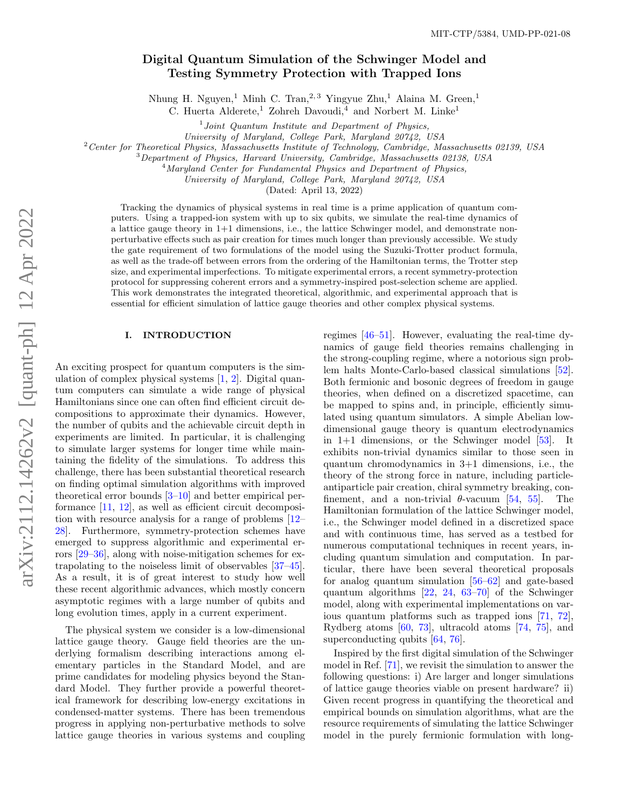# Digital Quantum Simulation of the Schwinger Model and Testing Symmetry Protection with Trapped Ions

Nhung H. Nguyen,<br/> $^1$  Minh C. Tran, $^{2,3}$  Yingyue Zhu,<br/> $^1$  Alaina M. Green, $^1$ 

C. Huerta Alderete,<sup>1</sup> Zohreh Davoudi,<sup>4</sup> and Norbert M. Linke<sup>1</sup>

<sup>1</sup>Joint Quantum Institute and Department of Physics,

University of Maryland, College Park, Maryland 20742, USA

 $2$ Center for Theoretical Physics, Massachusetts Institute of Technology, Cambridge, Massachusetts 02139, USA

<sup>3</sup>Department of Physics, Harvard University, Cambridge, Massachusetts 02138, USA

 $4$ Maryland Center for Fundamental Physics and Department of Physics,

University of Maryland, College Park, Maryland 20742, USA

(Dated: April 13, 2022)

Tracking the dynamics of physical systems in real time is a prime application of quantum computers. Using a trapped-ion system with up to six qubits, we simulate the real-time dynamics of a lattice gauge theory in 1+1 dimensions, i.e., the lattice Schwinger model, and demonstrate nonperturbative effects such as pair creation for times much longer than previously accessible. We study the gate requirement of two formulations of the model using the Suzuki-Trotter product formula, as well as the trade-off between errors from the ordering of the Hamiltonian terms, the Trotter step size, and experimental imperfections. To mitigate experimental errors, a recent symmetry-protection protocol for suppressing coherent errors and a symmetry-inspired post-selection scheme are applied. This work demonstrates the integrated theoretical, algorithmic, and experimental approach that is essential for efficient simulation of lattice gauge theories and other complex physical systems.

### I. INTRODUCTION

An exciting prospect for quantum computers is the simulation of complex physical systems [\[1,](#page-10-0) [2\]](#page-10-1). Digital quantum computers can simulate a wide range of physical Hamiltonians since one can often find efficient circuit decompositions to approximate their dynamics. However, the number of qubits and the achievable circuit depth in experiments are limited. In particular, it is challenging to simulate larger systems for longer time while maintaining the fidelity of the simulations. To address this challenge, there has been substantial theoretical research on finding optimal simulation algorithms with improved theoretical error bounds [\[3](#page-10-2)[–10\]](#page-11-0) and better empirical performance [\[11,](#page-11-1) [12\]](#page-11-2), as well as efficient circuit decomposition with resource analysis for a range of problems [\[12–](#page-11-2) [28\]](#page-11-3). Furthermore, symmetry-protection schemes have emerged to suppress algorithmic and experimental errors [\[29–](#page-11-4)[36\]](#page-12-0), along with noise-mitigation schemes for extrapolating to the noiseless limit of observables [\[37–](#page-12-1)[45\]](#page-12-2). As a result, it is of great interest to study how well these recent algorithmic advances, which mostly concern asymptotic regimes with a large number of qubits and long evolution times, apply in a current experiment.

The physical system we consider is a low-dimensional lattice gauge theory. Gauge field theories are the underlying formalism describing interactions among elementary particles in the Standard Model, and are prime candidates for modeling physics beyond the Standard Model. They further provide a powerful theoretical framework for describing low-energy excitations in condensed-matter systems. There has been tremendous progress in applying non-perturbative methods to solve lattice gauge theories in various systems and coupling regimes [\[46–](#page-12-3)[51\]](#page-12-4). However, evaluating the real-time dynamics of gauge field theories remains challenging in the strong-coupling regime, where a notorious sign problem halts Monte-Carlo-based classical simulations [\[52\]](#page-12-5). Both fermionic and bosonic degrees of freedom in gauge theories, when defined on a discretized spacetime, can be mapped to spins and, in principle, efficiently simulated using quantum simulators. A simple Abelian lowdimensional gauge theory is quantum electrodynamics in  $1+1$  dimensions, or the Schwinger model  $[53]$ . It exhibits non-trivial dynamics similar to those seen in quantum chromodynamics in 3+1 dimensions, i.e., the theory of the strong force in nature, including particleantiparticle pair creation, chiral symmetry breaking, confinement, and a non-trivial  $\theta$ -vacuum [\[54,](#page-12-7) [55\]](#page-12-8). The Hamiltonian formulation of the lattice Schwinger model, i.e., the Schwinger model defined in a discretized space and with continuous time, has served as a testbed for numerous computational techniques in recent years, including quantum simulation and computation. In particular, there have been several theoretical proposals for analog quantum simulation [\[56–](#page-12-9)[62\]](#page-12-10) and gate-based quantum algorithms [\[22,](#page-11-5) [24,](#page-11-6) [63](#page-12-11)[–70\]](#page-13-0) of the Schwinger model, along with experimental implementations on various quantum platforms such as trapped ions [\[71,](#page-13-1) [72\]](#page-13-2), Rydberg atoms [\[60,](#page-12-12) [73\]](#page-13-3), ultracold atoms [\[74,](#page-13-4) [75\]](#page-13-5), and superconducting qubits [\[64,](#page-12-13) [76\]](#page-13-6).

Inspired by the first digital simulation of the Schwinger model in Ref. [\[71\]](#page-13-1), we revisit the simulation to answer the following questions: i) Are larger and longer simulations of lattice gauge theories viable on present hardware? ii) Given recent progress in quantifying the theoretical and empirical bounds on simulation algorithms, what are the resource requirements of simulating the lattice Schwinger model in the purely fermionic formulation with long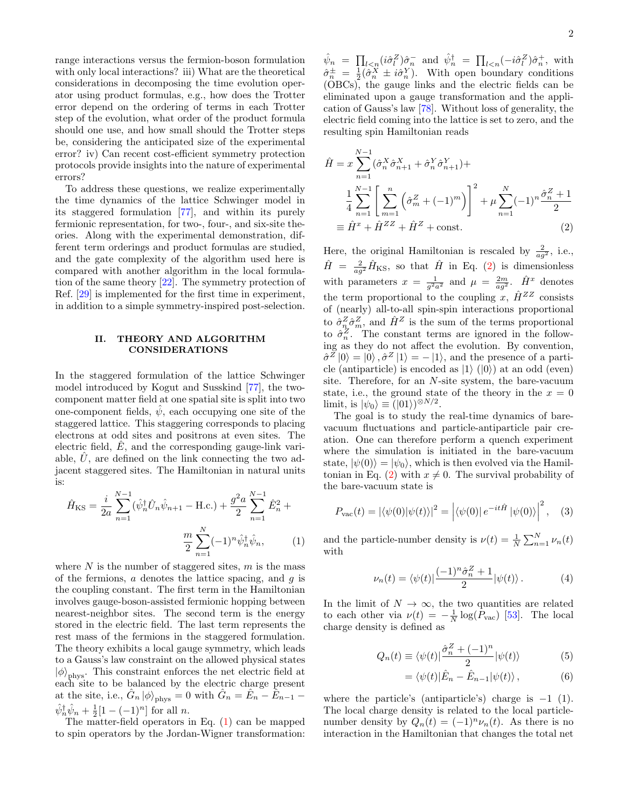range interactions versus the fermion-boson formulation with only local interactions? iii) What are the theoretical considerations in decomposing the time evolution operator using product formulas, e.g., how does the Trotter error depend on the ordering of terms in each Trotter step of the evolution, what order of the product formula should one use, and how small should the Trotter steps be, considering the anticipated size of the experimental error? iv) Can recent cost-efficient symmetry protection protocols provide insights into the nature of experimental errors?

To address these questions, we realize experimentally the time dynamics of the lattice Schwinger model in its staggered formulation [\[77\]](#page-13-7), and within its purely fermionic representation, for two-, four-, and six-site theories. Along with the experimental demonstration, different term orderings and product formulas are studied, and the gate complexity of the algorithm used here is compared with another algorithm in the local formulation of the same theory [\[22\]](#page-11-5). The symmetry protection of Ref. [\[29\]](#page-11-4) is implemented for the first time in experiment, in addition to a simple symmetry-inspired post-selection.

#### <span id="page-1-5"></span>II. THEORY AND ALGORITHM CONSIDERATIONS

In the staggered formulation of the lattice Schwinger model introduced by Kogut and Susskind [\[77\]](#page-13-7), the twocomponent matter field at one spatial site is split into two one-component fields,  $\psi$ , each occupying one site of the staggered lattice. This staggering corresponds to placing electrons at odd sites and positrons at even sites. The electric field,  $E$ , and the corresponding gauge-link variable,  $U$ , are defined on the link connecting the two adjacent staggered sites. The Hamiltonian in natural units is:

<span id="page-1-0"></span>
$$
\hat{H}_{\rm KS} = \frac{i}{2a} \sum_{n=1}^{N-1} (\hat{\psi}_n^{\dagger} \hat{U}_n \hat{\psi}_{n+1} - \text{H.c.}) + \frac{g^2 a}{2} \sum_{n=1}^{N-1} \hat{E}_n^2 + \frac{m}{2} \sum_{n=1}^{N} (-1)^n \hat{\psi}_n^{\dagger} \hat{\psi}_n, \tag{1}
$$

where  $N$  is the number of staggered sites,  $m$  is the mass of the fermions,  $a$  denotes the lattice spacing, and  $g$  is the coupling constant. The first term in the Hamiltonian involves gauge-boson-assisted fermionic hopping between nearest-neighbor sites. The second term is the energy stored in the electric field. The last term represents the rest mass of the fermions in the staggered formulation. The theory exhibits a local gauge symmetry, which leads to a Gauss's law constraint on the allowed physical states  $|\phi\rangle_{\text{phys}}$ . This constraint enforces the net electric field at each site to be balanced by the electric charge present at the site, i.e.,  $\hat{G}_n |\phi\rangle_{\text{phys}} = 0$  with  $\hat{G}_n = \hat{E}_n - \hat{E}_{n-1}$  $\hat{\psi}_n^{\dagger} \hat{\psi}_n + \frac{1}{2} [1 - (-1)^n]$  for all *n*.

The matter-field operators in Eq. [\(1\)](#page-1-0) can be mapped to spin operators by the Jordan-Wigner transformation:

 $\hat{\psi}_n = \prod_{l < n} (i \hat{\sigma}_l^Z) \hat{\sigma}_n^-$  and  $\hat{\psi}_n^{\dagger} = \prod_{l < n} (-i \hat{\sigma}_l^Z) \hat{\sigma}_n^+$ , with  $\hat{\sigma}_n^{\pm} = \frac{1}{2} (\hat{\sigma}_n^X \pm i \hat{\sigma}_n^Y)$ . With open boundary conditions (OBCs), the gauge links and the electric fields can be eliminated upon a gauge transformation and the application of Gauss's law [\[78\]](#page-13-8). Without loss of generality, the electric field coming into the lattice is set to zero, and the resulting spin Hamiltonian reads

$$
\hat{H} = x \sum_{n=1}^{N-1} (\hat{\sigma}_n^X \hat{\sigma}_{n+1}^X + \hat{\sigma}_n^Y \hat{\sigma}_{n+1}^Y) +
$$
\n
$$
\frac{1}{4} \sum_{n=1}^{N-1} \left[ \sum_{m=1}^n \left( \hat{\sigma}_m^Z + (-1)^m \right) \right]^2 + \mu \sum_{n=1}^N (-1)^n \frac{\hat{\sigma}_n^Z + 1}{2}
$$
\n
$$
\equiv \hat{H}^x + \hat{H}^{ZZ} + \hat{H}^Z + \text{const.}
$$
\n(2)

<span id="page-1-1"></span>Here, the original Hamiltonian is rescaled by  $\frac{2}{ag^2}$ , i.e.,  $\hat{H} = \frac{2}{ag^2} \hat{H}_{\text{KS}}$ , so that  $\hat{H}$  in Eq. [\(2\)](#page-1-1) is dimensionless with parameters  $x = \frac{1}{g^2 a^2}$  and  $\mu = \frac{2m}{ag^2}$ .  $\hat{H}^x$  denotes the term proportional to the coupling x,  $\hat{H}^{ZZ}$  consists of (nearly) all-to-all spin-spin interactions proportional to  $\hat{\sigma}_n^Z \hat{\sigma}_m^Z$ , and  $\hat{H}^Z$  is the sum of the terms proportional to  $\hat{\sigma}_n^Z$ . The constant terms are ignored in the following as they do not affect the evolution. By convention,  $\hat{\sigma}^Z |0\rangle = |0\rangle, \hat{\sigma}^Z |1\rangle = - |1\rangle$ , and the presence of a particle (antiparticle) is encoded as  $|1\rangle$  ( $|0\rangle$ ) at an odd (even) site. Therefore, for an N-site system, the bare-vacuum state, i.e., the ground state of the theory in the  $x = 0$ limit, is  $|\psi_0\rangle \equiv (|01\rangle)^{\otimes N/2}$ .

The goal is to study the real-time dynamics of barevacuum fluctuations and particle-antiparticle pair creation. One can therefore perform a quench experiment where the simulation is initiated in the bare-vacuum state,  $|\psi(0)\rangle = |\psi_0\rangle$ , which is then evolved via the Hamil-tonian in Eq. [\(2\)](#page-1-1) with  $x \neq 0$ . The survival probability of the bare-vacuum state is

$$
P_{\text{vac}}(t) = \left| \langle \psi(0) | \psi(t) \rangle \right|^2 = \left| \langle \psi(0) | e^{-it\hat{H}} | \psi(0) \rangle \right|^2, \quad (3)
$$

and the particle-number density is  $\nu(t) = \frac{1}{N} \sum_{n=1}^{N} \nu_n(t)$ with

<span id="page-1-2"></span>
$$
\nu_n(t) = \langle \psi(t) | \frac{(-1)^n \hat{\sigma}_n^Z + 1}{2} | \psi(t) \rangle.
$$
 (4)

In the limit of  $N \to \infty$ , the two quantities are related to each other via  $\nu(t) = -\frac{1}{N} \log(P_{\text{vac}})$  [\[53\]](#page-12-6). The local charge density is defined as

$$
Q_n(t) \equiv \langle \psi(t) | \frac{\hat{\sigma}_n^Z + (-1)^n}{2} | \psi(t) \rangle \tag{5}
$$

<span id="page-1-4"></span><span id="page-1-3"></span>
$$
= \langle \psi(t) | \hat{E}_n - \hat{E}_{n-1} | \psi(t) \rangle , \qquad (6)
$$

where the particle's (antiparticle's) charge is  $-1$  (1). The local charge density is related to the local particlenumber density by  $Q_n(t) = (-1)^n \nu_n(t)$ . As there is no interaction in the Hamiltonian that changes the total net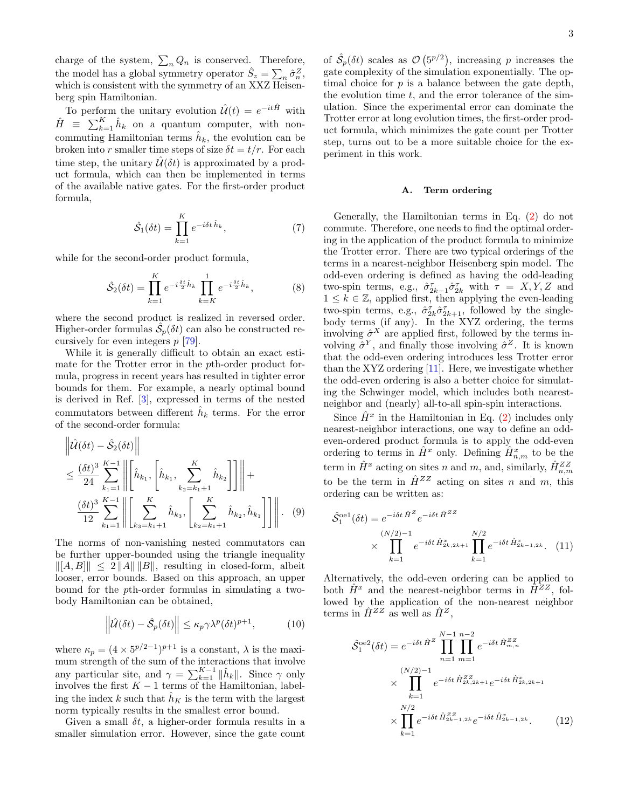charge of the system,  $\sum_{n} Q_n$  is conserved. Therefore, the model has a global symmetry operator  $\hat{S}_z = \sum_n \hat{\sigma}_n^Z,$ which is consistent with the symmetry of an  $XXZ$  Heisenberg spin Hamiltonian.

To perform the unitary evolution  $\hat{\mathcal{U}}(t) = e^{-it\hat{H}}$  with  $\hat{H} \equiv \sum_{k=1}^{K} \hat{h}_k$  on a quantum computer, with noncommuting Hamiltonian terms  $\hat{h}_k$ , the evolution can be broken into r smaller time steps of size  $\delta t = t/r$ . For each time step, the unitary  $\hat{\mathcal{U}}(\delta t)$  is approximated by a product formula, which can then be implemented in terms of the available native gates. For the first-order product formula,

$$
\hat{\mathcal{S}}_1(\delta t) = \prod_{k=1}^K e^{-i\delta t \,\hat{h}_k},\tag{7}
$$

while for the second-order product formula,

$$
\hat{S}_2(\delta t) = \prod_{k=1}^K e^{-i\frac{\delta t}{2}\hat{h}_k} \prod_{k=K}^1 e^{-i\frac{\delta t}{2}\hat{h}_k},
$$
 (8)

where the second product is realized in reversed order. Higher-order formulas  $\hat{\mathcal{S}}_p(\delta t)$  can also be constructed recursively for even integers p [\[79\]](#page-13-9).

While it is generally difficult to obtain an exact estimate for the Trotter error in the pth-order product formula, progress in recent years has resulted in tighter error bounds for them. For example, a nearly optimal bound is derived in Ref. [\[3\]](#page-10-2), expressed in terms of the nested commutators between different  $\hat{h}_k$  terms. For the error of the second-order formula:

$$
\left\| \hat{\mathcal{U}}(\delta t) - \hat{\mathcal{S}}_{2}(\delta t) \right\|
$$
  
\n
$$
\leq \frac{(\delta t)^{3}}{24} \sum_{k_{1}=1}^{K-1} \left\| \hat{h}_{k_{1}}, \left[ \hat{h}_{k_{1}}, \sum_{k_{2}=k_{1}+1}^{K} \hat{h}_{k_{2}} \right] \right\| +
$$
  
\n
$$
\frac{(\delta t)^{3}}{12} \sum_{k_{1}=1}^{K-1} \left\| \sum_{k_{3}=k_{1}+1}^{K} \hat{h}_{k_{3}}, \left[ \sum_{k_{2}=k_{1}+1}^{K} \hat{h}_{k_{2}}, \hat{h}_{k_{1}} \right] \right\| \right\|.
$$
 (9)

The norms of non-vanishing nested commutators can be further upper-bounded using the triangle inequality  $||[A, B]|| \leq 2 ||A|| ||B||$ , resulting in closed-form, albeit looser, error bounds. Based on this approach, an upper bound for the pth-order formulas in simulating a twobody Hamiltonian can be obtained,

$$
\left\|\hat{\mathcal{U}}(\delta t) - \hat{\mathcal{S}}_p(\delta t)\right\| \le \kappa_p \gamma \lambda^p (\delta t)^{p+1},\tag{10}
$$

where  $\kappa_p = (4 \times 5^{p/2-1})^{p+1}$  is a constant,  $\lambda$  is the maximum strength of the sum of the interactions that involve any particular site, and  $\gamma = \sum_{k=1}^{K-1} ||\hat{h}_k||$ . Since  $\gamma$  only involves the first  $K - 1$  terms of the Hamiltonian, labeling the index k such that  $\hat{h}_K$  is the term with the largest norm typically results in the smallest error bound.

Given a small  $\delta t$ , a higher-order formula results in a smaller simulation error. However, since the gate count

of  $\hat{\mathcal{S}}_p(\delta t)$  scales as  $\mathcal{O}(5^{p/2})$ , increasing p increases the gate complexity of the simulation exponentially. The optimal choice for  $p$  is a balance between the gate depth, the evolution time  $t$ , and the error tolerance of the simulation. Since the experimental error can dominate the Trotter error at long evolution times, the first-order product formula, which minimizes the gate count per Trotter step, turns out to be a more suitable choice for the experiment in this work.

#### A. Term ordering

<span id="page-2-2"></span>Generally, the Hamiltonian terms in Eq. [\(2\)](#page-1-1) do not commute. Therefore, one needs to find the optimal ordering in the application of the product formula to minimize the Trotter error. There are two typical orderings of the terms in a nearest-neighbor Heisenberg spin model. The odd-even ordering is defined as having the odd-leading two-spin terms, e.g.,  $\hat{\sigma}_{2k-1}^{\tau}\hat{\sigma}_{2k}^{\tau}$  with  $\tau = X, Y, Z$  and  $1 \leq k \in \mathbb{Z}$ , applied first, then applying the even-leading two-spin terms, e.g.,  $\hat{\sigma}_{2k}^{\tau} \hat{\sigma}_{2k+1}^{\tau}$ , followed by the singlebody terms (if any). In the XYZ ordering, the terms involving  $\hat{\sigma}^X$  are applied first, followed by the terms involving  $\hat{\sigma}^Y$ , and finally those involving  $\hat{\sigma}^Z$ . It is known that the odd-even ordering introduces less Trotter error than the XYZ ordering [\[11\]](#page-11-1). Here, we investigate whether the odd-even ordering is also a better choice for simulating the Schwinger model, which includes both nearestneighbor and (nearly) all-to-all spin-spin interactions.

Since  $\hat{H}^x$  in the Hamiltonian in Eq. [\(2\)](#page-1-1) includes only nearest-neighbor interactions, one way to define an oddeven-ordered product formula is to apply the odd-even ordering to terms in  $\hat{H}^x$  only. Defining  $\hat{H}^x_{n,m}$  to be the term in  $\hat{H}^x$  acting on sites n and m, and, similarly,  $\hat{H}^{ZZ}_{n,m}$ to be the term in  $\hat{H}^{ZZ}$  acting on sites n and m, this ordering can be written as:

<span id="page-2-3"></span>
$$
\hat{S}_1^{\text{oel}}(\delta t) = e^{-i\delta t \hat{H}^Z} e^{-i\delta t \hat{H}^{ZZ}} \times \prod_{k=1}^{(N/2)-1} e^{-i\delta t \hat{H}_{2k,2k+1}^x} \prod_{k=1}^{N/2} e^{-i\delta t \hat{H}_{2k-1,2k}^x}.
$$
 (11)

<span id="page-2-1"></span>Alternatively, the odd-even ordering can be applied to both  $\hat{H}^x$  and the nearest-neighbor terms in  $\hat{H}^{ZZ}$ , followed by the application of the non-nearest neighbor terms in  $\hat{H}^{ZZ}$  as well as  $\hat{H}^{Z}$ ,

<span id="page-2-0"></span>
$$
\hat{S}_1^{\text{oe2}}(\delta t) = e^{-i\delta t \hat{H}^Z} \prod_{n=1}^{N-1} \prod_{m=1}^{n-2} e^{-i\delta t \hat{H}_{m,n}^{ZZ}}
$$

$$
\times \prod_{k=1}^{(N/2)-1} e^{-i\delta t \hat{H}_{2k,2k+1}^{ZZ}} e^{-i\delta t \hat{H}_{2k,2k+1}^x}
$$

$$
\times \prod_{k=1}^{N/2} e^{-i\delta t \hat{H}_{2k-1,2k}^{ZZ}} e^{-i\delta t \hat{H}_{2k-1,2k}^x}.
$$
(12)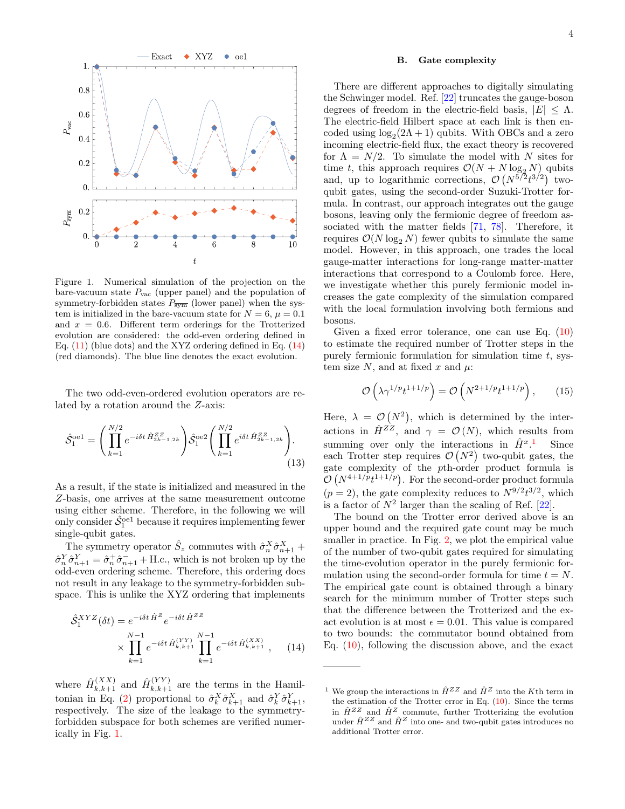

<span id="page-3-1"></span>Figure 1. Numerical simulation of the projection on the bare-vacuum state  $P_{\text{vac}}$  (upper panel) and the population of symmetry-forbidden states  $P_{\overline{\text{sym}}}$  (lower panel) when the system is initialized in the bare-vacuum state for  $N = 6$ ,  $\mu = 0.1$ and  $x = 0.6$ . Different term orderings for the Trotterized evolution are considered: the odd-even ordering defined in Eq.  $(11)$  (blue dots) and the XYZ ordering defined in Eq.  $(14)$ (red diamonds). The blue line denotes the exact evolution.

The two odd-even-ordered evolution operators are related by a rotation around the Z-axis:

$$
\hat{S}_1^{\text{oel}} = \left( \prod_{k=1}^{N/2} e^{-i\delta t \hat{H}_{2k-1,2k}^{ZZ}} \right) \hat{S}_1^{\text{oel}} \left( \prod_{k=1}^{N/2} e^{i\delta t \hat{H}_{2k-1,2k}^{ZZ}} \right). \tag{13}
$$

As a result, if the state is initialized and measured in the Z-basis, one arrives at the same measurement outcome using either scheme. Therefore, in the following we will only consider  $\hat{S}_1^{\text{oel}}$  because it requires implementing fewer single-qubit gates.

The symmetry operator  $\hat{S}_z$  commutes with  $\hat{\sigma}_n^X \hat{\sigma}_{n+1}^X$  +  $\hat{\sigma}_n^Y \hat{\sigma}_{n+1}^Y = \hat{\sigma}_n^+ \hat{\sigma}_{n+1}^- + \text{H.c., which is not broken up by the}$ odd-even ordering scheme. Therefore, this ordering does not result in any leakage to the symmetry-forbidden subspace. This is unlike the XYZ ordering that implements

$$
\hat{S}_1^{XYZ}(\delta t) = e^{-i\delta t \hat{H}^Z} e^{-i\delta t \hat{H}^{ZZ}} \times \prod_{k=1}^{N-1} e^{-i\delta t \hat{H}_{k,k+1}^{(YY)}} \prod_{k=1}^{N-1} e^{-i\delta t \hat{H}_{k,k+1}^{(XX)}}, \quad (14)
$$

where  $\hat{H}^{(XX)}_{k,k+1}$  and  $\hat{H}^{(YY)}_{k,k+1}$  are the terms in the Hamil-tonian in Eq. [\(2\)](#page-1-1) proportional to  $\hat{\sigma}_k^X \hat{\sigma}_{k+1}^X$  and  $\hat{\sigma}_k^Y \hat{\sigma}_{k+1}^Y$ , respectively. The size of the leakage to the symmetryforbidden subspace for both schemes are verified numerically in Fig. [1.](#page-3-1)

### B. Gate complexity

There are different approaches to digitally simulating the Schwinger model. Ref. [\[22\]](#page-11-5) truncates the gauge-boson degrees of freedom in the electric-field basis,  $|E| \leq \Lambda$ . The electric-field Hilbert space at each link is then encoded using  $log_2(2\Lambda + 1)$  qubits. With OBCs and a zero incoming electric-field flux, the exact theory is recovered for  $\Lambda = N/2$ . To simulate the model with N sites for time t, this approach requires  $\mathcal{O}(N + N \log_2 N)$  qubits and, up to logarithmic corrections,  $\mathcal{O}(N^{5/2}t^{3/2})$  twoqubit gates, using the second-order Suzuki-Trotter formula. In contrast, our approach integrates out the gauge bosons, leaving only the fermionic degree of freedom associated with the matter fields [\[71,](#page-13-1) [78\]](#page-13-8). Therefore, it requires  $\mathcal{O}(N \log_2 N)$  fewer qubits to simulate the same model. However, in this approach, one trades the local gauge-matter interactions for long-range matter-matter interactions that correspond to a Coulomb force. Here, we investigate whether this purely fermionic model increases the gate complexity of the simulation compared with the local formulation involving both fermions and bosons.

Given a fixed error tolerance, one can use Eq. [\(10\)](#page-2-1) to estimate the required number of Trotter steps in the purely fermionic formulation for simulation time  $t$ , system size N, and at fixed x and  $\mu$ :

$$
\mathcal{O}\left(\lambda \gamma^{1/p} t^{1+1/p}\right) = \mathcal{O}\left(N^{2+1/p} t^{1+1/p}\right),\qquad(15)
$$

Here,  $\lambda = \mathcal{O}(N^2)$ , which is determined by the interactions in  $\hat{H}^{Z\bar{Z}}$ , and  $\gamma = \mathcal{O}(N)$ , which results from summing over only the interactions in  $\hat{H}^{x,1}$  $\hat{H}^{x,1}$  $\hat{H}^{x,1}$  Since each Trotter step requires  $\mathcal{O}(N^2)$  two-qubit gates, the gate complexity of the pth-order product formula is  $\mathcal{O}(N^{4+1/p}t^{1+1/p})$ . For the second-order product formula  $(p = 2)$ , the gate complexity reduces to  $N^{9/2}t^{3/2}$ , which is a factor of  $N^2$  larger than the scaling of Ref. [\[22\]](#page-11-5).

The bound on the Trotter error derived above is an upper bound and the required gate count may be much smaller in practice. In Fig. [2,](#page-4-0) we plot the empirical value of the number of two-qubit gates required for simulating the time-evolution operator in the purely fermionic formulation using the second-order formula for time  $t = N$ . The empirical gate count is obtained through a binary search for the minimum number of Trotter steps such that the difference between the Trotterized and the exact evolution is at most  $\epsilon = 0.01$ . This value is compared to two bounds: the commutator bound obtained from Eq.  $(10)$ , following the discussion above, and the exact

<span id="page-3-2"></span><span id="page-3-0"></span><sup>&</sup>lt;sup>1</sup> We group the interactions in  $\hat{H}^{ZZ}$  and  $\hat{H}^{Z}$  into the K<sup>th</sup> term in the estimation of the Trotter error in Eq. [\(10\)](#page-2-1). Since the terms in  $\hat{H}^{ZZ}$  and  $\hat{H}^{Z}$  commute, further Trotterizing the evolution under  $\hat{H}^{ZZ}$  and  $\hat{H}^{Z}$  into one- and two-qubit gates introduces no additional Trotter error.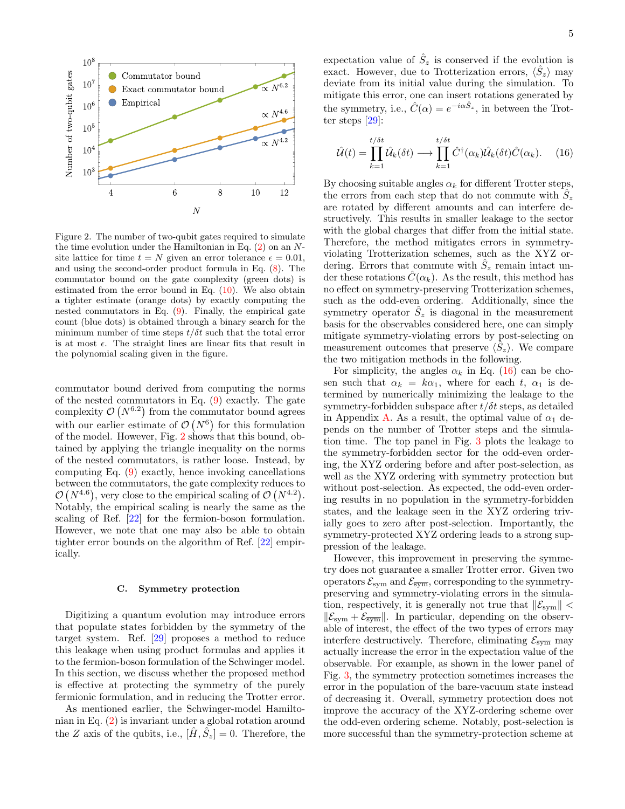

<span id="page-4-0"></span>Figure 2. The number of two-qubit gates required to simulate the time evolution under the Hamiltonian in Eq.  $(2)$  on an Nsite lattice for time  $t = N$  given an error tolerance  $\epsilon = 0.01$ , and using the second-order product formula in Eq. [\(8\)](#page-2-2). The commutator bound on the gate complexity (green dots) is estimated from the error bound in Eq. [\(10\)](#page-2-1). We also obtain a tighter estimate (orange dots) by exactly computing the nested commutators in Eq. [\(9\)](#page-2-3). Finally, the empirical gate count (blue dots) is obtained through a binary search for the minimum number of time steps  $t/\delta t$  such that the total error is at most  $\epsilon$ . The straight lines are linear fits that result in the polynomial scaling given in the figure.

commutator bound derived from computing the norms of the nested commutators in Eq. [\(9\)](#page-2-3) exactly. The gate complexity  $\mathcal{O}(N^{6.2})$  from the commutator bound agrees with our earlier estimate of  $\mathcal{O}(N^6)$  for this formulation of the model. However, Fig. [2](#page-4-0) shows that this bound, obtained by applying the triangle inequality on the norms of the nested commutators, is rather loose. Instead, by computing Eq. [\(9\)](#page-2-3) exactly, hence invoking cancellations between the commutators, the gate complexity reduces to  $\mathcal{O}(N^{4.6})$ , very close to the empirical scaling of  $\mathcal{O}(N^{4.2})$ . Notably, the empirical scaling is nearly the same as the scaling of Ref. [\[22\]](#page-11-5) for the fermion-boson formulation. However, we note that one may also be able to obtain tighter error bounds on the algorithm of Ref. [\[22\]](#page-11-5) empirically.

#### <span id="page-4-2"></span>C. Symmetry protection

Digitizing a quantum evolution may introduce errors that populate states forbidden by the symmetry of the target system. Ref. [\[29\]](#page-11-4) proposes a method to reduce this leakage when using product formulas and applies it to the fermion-boson formulation of the Schwinger model. In this section, we discuss whether the proposed method is effective at protecting the symmetry of the purely fermionic formulation, and in reducing the Trotter error.

As mentioned earlier, the Schwinger-model Hamiltonian in Eq. [\(2\)](#page-1-1) is invariant under a global rotation around the Z axis of the qubits, i.e.,  $[\hat{H}, \hat{S}_z] = 0$ . Therefore, the

expectation value of  $\hat{S}_z$  is conserved if the evolution is exact. However, due to Trotterization errors,  $\langle \hat{S}_z \rangle$  may deviate from its initial value during the simulation. To mitigate this error, one can insert rotations generated by the symmetry, i.e.,  $\hat{C}(\alpha) = e^{-i\alpha \hat{S}_z}$ , in between the Trotter steps [\[29\]](#page-11-4):

<span id="page-4-1"></span>
$$
\hat{\mathcal{U}}(t) = \prod_{k=1}^{t/\delta t} \hat{\mathcal{U}}_k(\delta t) \longrightarrow \prod_{k=1}^{t/\delta t} \hat{C}^\dagger(\alpha_k) \hat{\mathcal{U}}_k(\delta t) \hat{C}(\alpha_k). \tag{16}
$$

By choosing suitable angles  $\alpha_k$  for different Trotter steps, the errors from each step that do not commute with  $\hat{S}_z$ are rotated by different amounts and can interfere destructively. This results in smaller leakage to the sector with the global charges that differ from the initial state. Therefore, the method mitigates errors in symmetryviolating Trotterization schemes, such as the XYZ ordering. Errors that commute with  $\hat{S}_z$  remain intact under these rotations  $C(\alpha_k)$ . As the result, this method has no effect on symmetry-preserving Trotterization schemes, such as the odd-even ordering. Additionally, since the symmetry operator  $\hat{S}_z$  is diagonal in the measurement basis for the observables considered here, one can simply mitigate symmetry-violating errors by post-selecting on measurement outcomes that preserve  $\langle \hat{S}_z \rangle$ . We compare the two mitigation methods in the following.

For simplicity, the angles  $\alpha_k$  in Eq. [\(16\)](#page-4-1) can be chosen such that  $\alpha_k = k\alpha_1$ , where for each t,  $\alpha_1$  is determined by numerically minimizing the leakage to the symmetry-forbidden subspace after  $t/\delta t$  steps, as detailed in Appendix [A.](#page-9-0) As a result, the optimal value of  $\alpha_1$  depends on the number of Trotter steps and the simulation time. The top panel in Fig. [3](#page-5-0) plots the leakage to the symmetry-forbidden sector for the odd-even ordering, the XYZ ordering before and after post-selection, as well as the XYZ ordering with symmetry protection but without post-selection. As expected, the odd-even ordering results in no population in the symmetry-forbidden states, and the leakage seen in the XYZ ordering trivially goes to zero after post-selection. Importantly, the symmetry-protected XYZ ordering leads to a strong suppression of the leakage.

However, this improvement in preserving the symmetry does not guarantee a smaller Trotter error. Given two operators  $\mathcal{E}_{\text{sym}}$  and  $\mathcal{E}_{\overline{\text{sym}}}$ , corresponding to the symmetrypreserving and symmetry-violating errors in the simulation, respectively, it is generally not true that  $\|\mathcal{E}_{sym}\|$  <  $\|\mathcal{E}_{\text{sym}} + \mathcal{E}_{\overline{\text{sym}}} \|$ . In particular, depending on the observable of interest, the effect of the two types of errors may interfere destructively. Therefore, eliminating  $\mathcal{E}_{\overline{\text{sym}}}$  may actually increase the error in the expectation value of the observable. For example, as shown in the lower panel of Fig. [3,](#page-5-0) the symmetry protection sometimes increases the error in the population of the bare-vacuum state instead of decreasing it. Overall, symmetry protection does not improve the accuracy of the XYZ-ordering scheme over the odd-even ordering scheme. Notably, post-selection is more successful than the symmetry-protection scheme at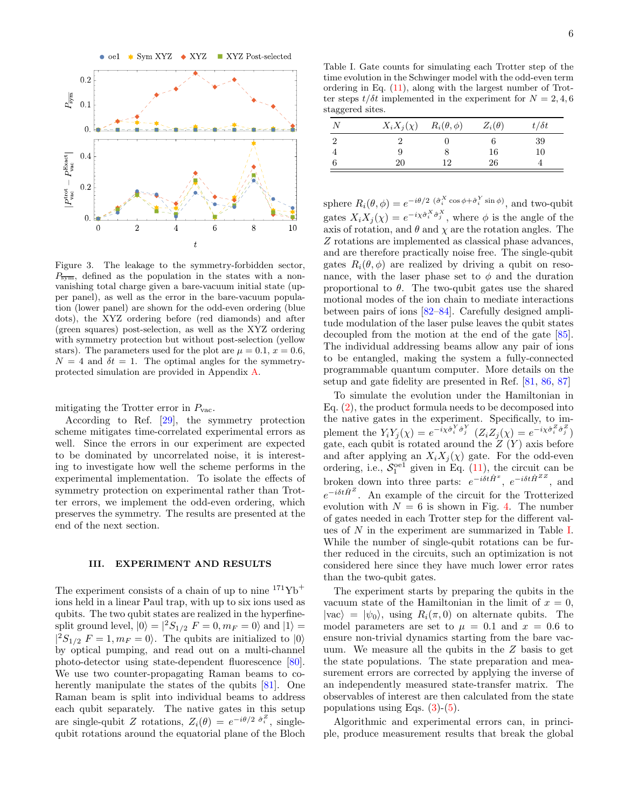

<span id="page-5-0"></span>Figure 3. The leakage to the symmetry-forbidden sector,  $P_{\overline{\text{sym}}}$ , defined as the population in the states with a nonvanishing total charge given a bare-vacuum initial state (upper panel), as well as the error in the bare-vacuum population (lower panel) are shown for the odd-even ordering (blue dots), the XYZ ordering before (red diamonds) and after (green squares) post-selection, as well as the XYZ ordering with symmetry protection but without post-selection (yellow stars). The parameters used for the plot are  $\mu = 0.1$ ,  $x = 0.6$ ,  $N = 4$  and  $\delta t = 1$ . The optimal angles for the symmetryprotected simulation are provided in Appendix [A.](#page-9-0)

mitigating the Trotter error in  $P_{\text{vac}}$ .

According to Ref. [\[29\]](#page-11-4), the symmetry protection scheme mitigates time-correlated experimental errors as well. Since the errors in our experiment are expected to be dominated by uncorrelated noise, it is interesting to investigate how well the scheme performs in the experimental implementation. To isolate the effects of symmetry protection on experimental rather than Trotter errors, we implement the odd-even ordering, which preserves the symmetry. The results are presented at the end of the next section.

#### III. EXPERIMENT AND RESULTS

The experiment consists of a chain of up to nine  $171\text{Yb}^+$ ions held in a linear Paul trap, with up to six ions used as qubits. The two qubit states are realized in the hyperfinesplit ground level,  $|0\rangle = |^2S_{1/2} F = 0, m_F = 0\rangle$  and  $|1\rangle =$  $|{}^2S_{1/2} F = 1, m_F = 0$ . The qubits are initialized to  $|0\rangle$ by optical pumping, and read out on a multi-channel photo-detector using state-dependent fluorescence [\[80\]](#page-13-10). We use two counter-propagating Raman beams to coherently manipulate the states of the qubits [\[81\]](#page-13-11). One Raman beam is split into individual beams to address each qubit separately. The native gates in this setup are single-qubit Z rotations,  $Z_i(\theta) = e^{-i\theta/2} \hat{\sigma}_i^Z$ , singlequbit rotations around the equatorial plane of the Bloch

<span id="page-5-1"></span>Table I. Gate counts for simulating each Trotter step of the time evolution in the Schwinger model with the odd-even term ordering in Eq. [\(11\)](#page-2-0), along with the largest number of Trotter steps  $t/\delta t$  implemented in the experiment for  $N = 2, 4, 6$ staggered sites.

| $X_i X_j(\chi)$ $R_i(\theta, \phi)$ |    | $Z_i(\theta)$ | $t/\delta t$ |
|-------------------------------------|----|---------------|--------------|
|                                     |    |               | 39           |
|                                     |    | 16            | 10           |
| 20                                  | 12 | 26            |              |

sphere  $R_i(\theta, \phi) = e^{-i\theta/2} \left( \frac{\partial}{\partial i} \cos \phi + \frac{\partial}{\partial i} \sin \phi \right)$ , and two-qubit gates  $X_i X_j(\chi) = e^{-i\chi \hat{\sigma}_i^X \hat{\sigma}_j^X}$ , where  $\phi$  is the angle of the axis of rotation, and  $\theta$  and  $\chi$  are the rotation angles. The Z rotations are implemented as classical phase advances, and are therefore practically noise free. The single-qubit gates  $R_i(\theta, \phi)$  are realized by driving a qubit on resonance, with the laser phase set to  $\phi$  and the duration proportional to  $\theta$ . The two-qubit gates use the shared motional modes of the ion chain to mediate interactions between pairs of ions [\[82](#page-13-12)[–84\]](#page-13-13). Carefully designed amplitude modulation of the laser pulse leaves the qubit states decoupled from the motion at the end of the gate [\[85\]](#page-13-14). The individual addressing beams allow any pair of ions to be entangled, making the system a fully-connected programmable quantum computer. More details on the setup and gate fidelity are presented in Ref. [\[81,](#page-13-11) [86,](#page-13-15) [87\]](#page-13-16)

To simulate the evolution under the Hamiltonian in Eq. [\(2\)](#page-1-1), the product formula needs to be decomposed into the native gates in the experiment. Specifically, to implement the  $Y_i Y_j(\chi) = e^{-i\chi \hat{\sigma}_i^Y \hat{\sigma}_j^Y} (Z_i Z_j(\chi) = e^{-i\chi \hat{\sigma}_i^Z \hat{\sigma}_j^Z})$ gate, each qubit is rotated around the  $Z(Y)$  axis before and after applying an  $X_i X_j(\chi)$  gate. For the odd-even ordering, i.e.,  $S_1^{\text{oel}}$  given in Eq. [\(11\)](#page-2-0), the circuit can be broken down into three parts:  $e^{-i\delta t \hat{H}^x}$ ,  $e^{-i\delta t \hat{H}^{ZZ}}$ , and  $e^{-i\delta t \hat{H}^Z}$ . An example of the circuit for the Trotterized evolution with  $N = 6$  is shown in Fig. [4.](#page-6-0) The number of gates needed in each Trotter step for the different values of N in the experiment are summarized in Table [I.](#page-5-1) While the number of single-qubit rotations can be further reduced in the circuits, such an optimization is not considered here since they have much lower error rates than the two-qubit gates.

The experiment starts by preparing the qubits in the vacuum state of the Hamiltonian in the limit of  $x = 0$ ,  $|{\rm vac}\rangle = |{\psi}_0\rangle$ , using  $R_i(\pi,0)$  on alternate qubits. The model parameters are set to  $\mu = 0.1$  and  $x = 0.6$  to ensure non-trivial dynamics starting from the bare vacuum. We measure all the qubits in the Z basis to get the state populations. The state preparation and measurement errors are corrected by applying the inverse of an independently measured state-transfer matrix. The observables of interest are then calculated from the state populations using Eqs.  $(3)-(5)$  $(3)-(5)$  $(3)-(5)$ .

Algorithmic and experimental errors can, in principle, produce measurement results that break the global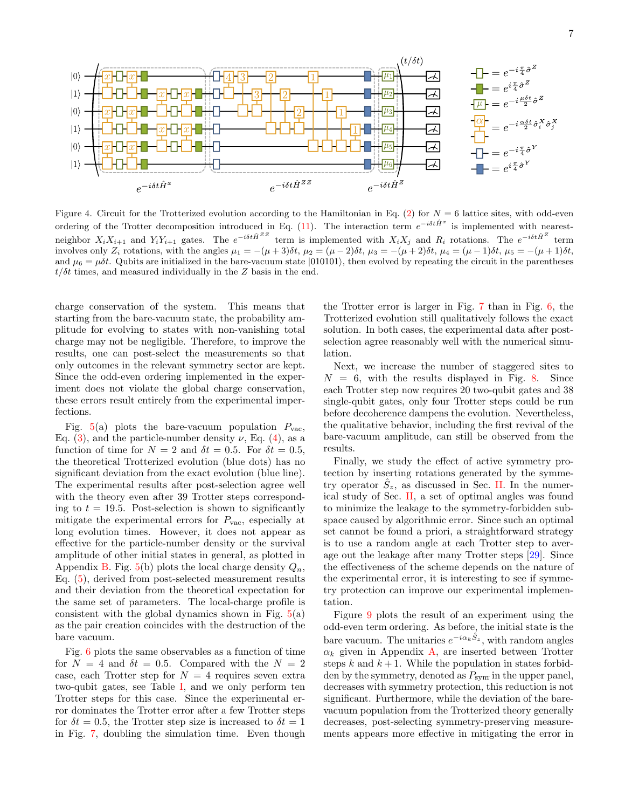

<span id="page-6-0"></span>Figure 4. Circuit for the Trotterized evolution according to the Hamiltonian in Eq. [\(2\)](#page-1-1) for  $N = 6$  lattice sites, with odd-even ordering of the Trotter decomposition introduced in Eq. [\(11\)](#page-2-0). The interaction term  $e^{-i\delta t\hat{H}^x}$  is implemented with nearestneighbor  $X_i X_{i+1}$  and  $Y_i Y_{i+1}$  gates. The  $e^{-i\delta t \hat{H}^{ZZ}}$  term is implemented with  $X_i X_j$  and  $R_i$  rotations. The  $e^{-i\delta t \hat{H}^{Z}}$  term involves only  $Z_i$  rotations, with the angles  $\mu_1 = -(\mu+3)\delta t$ ,  $\mu_2 = (\mu-2)\delta t$ ,  $\mu_3 = -(\mu+2)\delta t$ ,  $\mu_4 = (\mu-1)\delta t$ ,  $\mu_5 = -(\mu+1)\delta t$ , and  $\mu_6 = \mu \delta t$ . Qubits are initialized in the bare-vacuum state  $|010101\rangle$ , then evolved by repeating the circuit in the parentheses  $t/\delta t$  times, and measured individually in the Z basis in the end.

charge conservation of the system. This means that starting from the bare-vacuum state, the probability amplitude for evolving to states with non-vanishing total charge may not be negligible. Therefore, to improve the results, one can post-select the measurements so that only outcomes in the relevant symmetry sector are kept. Since the odd-even ordering implemented in the experiment does not violate the global charge conservation, these errors result entirely from the experimental imperfections.

Fig.  $5(a)$  $5(a)$  plots the bare-vacuum population  $P_{\text{vac}}$ , Eq. [\(3\)](#page-1-2), and the particle-number density  $\nu$ , Eq. [\(4\)](#page-1-4), as a function of time for  $N = 2$  and  $\delta t = 0.5$ . For  $\delta t = 0.5$ , the theoretical Trotterized evolution (blue dots) has no significant deviation from the exact evolution (blue line). The experimental results after post-selection agree well with the theory even after 39 Trotter steps corresponding to  $t = 19.5$ . Post-selection is shown to significantly mitigate the experimental errors for  $P_{\text{vac}}$ , especially at long evolution times. However, it does not appear as effective for the particle-number density or the survival amplitude of other initial states in general, as plotted in Appendix [B.](#page-10-3) Fig.  $5(b)$  $5(b)$  plots the local charge density  $Q_n$ , Eq. [\(5\)](#page-1-3), derived from post-selected measurement results and their deviation from the theoretical expectation for the same set of parameters. The local-charge profile is consistent with the global dynamics shown in Fig.  $5(a)$  $5(a)$ as the pair creation coincides with the destruction of the bare vacuum.

Fig. [6](#page-7-1) plots the same observables as a function of time for  $N = 4$  and  $\delta t = 0.5$ . Compared with the  $N = 2$ case, each Trotter step for  $N = 4$  requires seven extra two-qubit gates, see Table [I,](#page-5-1) and we only perform ten Trotter steps for this case. Since the experimental error dominates the Trotter error after a few Trotter steps for  $\delta t = 0.5$ , the Trotter step size is increased to  $\delta t = 1$ in Fig. [7,](#page-8-0) doubling the simulation time. Even though

the Trotter error is larger in Fig. [7](#page-8-0) than in Fig. [6,](#page-7-1) the Trotterized evolution still qualitatively follows the exact solution. In both cases, the experimental data after postselection agree reasonably well with the numerical simulation.

Next, we increase the number of staggered sites to  $N = 6$ , with the results displayed in Fig. [8.](#page-8-1) Since each Trotter step now requires 20 two-qubit gates and 38 single-qubit gates, only four Trotter steps could be run before decoherence dampens the evolution. Nevertheless, the qualitative behavior, including the first revival of the bare-vacuum amplitude, can still be observed from the results.

Finally, we study the effect of active symmetry protection by inserting rotations generated by the symmetry operator  $\hat{S}_z$ , as discussed in Sec. [II.](#page-1-5) In the numerical study of Sec. [II,](#page-1-5) a set of optimal angles was found to minimize the leakage to the symmetry-forbidden subspace caused by algorithmic error. Since such an optimal set cannot be found a priori, a straightforward strategy is to use a random angle at each Trotter step to average out the leakage after many Trotter steps [\[29\]](#page-11-4). Since the effectiveness of the scheme depends on the nature of the experimental error, it is interesting to see if symmetry protection can improve our experimental implementation.

Figure [9](#page-9-1) plots the result of an experiment using the odd-even term ordering. As before, the initial state is the bare vacuum. The unitaries  $e^{-i\alpha_k \hat{S}_z}$ , with random angles  $\alpha_k$  given in Appendix [A,](#page-9-0) are inserted between Trotter steps k and  $k + 1$ . While the population in states forbidden by the symmetry, denoted as  $P_{\overline{\text{sym}}}$  in the upper panel, decreases with symmetry protection, this reduction is not significant. Furthermore, while the deviation of the barevacuum population from the Trotterized theory generally decreases, post-selecting symmetry-preserving measurements appears more effective in mitigating the error in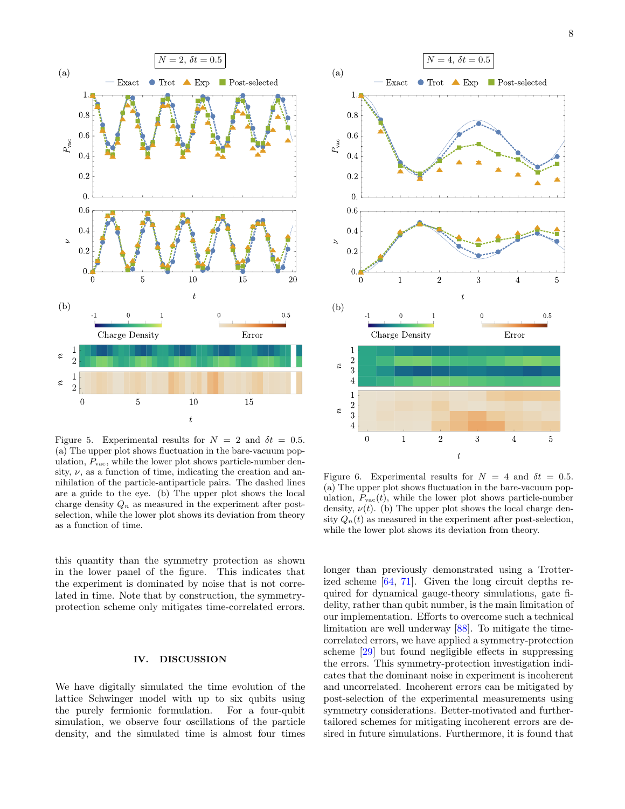

<span id="page-7-0"></span>Figure 5. Experimental results for  $N = 2$  and  $\delta t = 0.5$ . (a) The upper plot shows fluctuation in the bare-vacuum population,  $P_{\text{vac}}$ , while the lower plot shows particle-number density,  $\nu$ , as a function of time, indicating the creation and annihilation of the particle-antiparticle pairs. The dashed lines are a guide to the eye. (b) The upper plot shows the local charge density  $Q_n$  as measured in the experiment after postselection, while the lower plot shows its deviation from theory as a function of time.

this quantity than the symmetry protection as shown in the lower panel of the figure. This indicates that the experiment is dominated by noise that is not correlated in time. Note that by construction, the symmetryprotection scheme only mitigates time-correlated errors.

### IV. DISCUSSION

We have digitally simulated the time evolution of the lattice Schwinger model with up to six qubits using the purely fermionic formulation. For a four-qubit simulation, we observe four oscillations of the particle density, and the simulated time is almost four times



<span id="page-7-1"></span>Figure 6. Experimental results for  $N = 4$  and  $\delta t = 0.5$ . (a) The upper plot shows fluctuation in the bare-vacuum population,  $P_{\text{vac}}(t)$ , while the lower plot shows particle-number density,  $\nu(t)$ . (b) The upper plot shows the local charge density  $Q_n(t)$  as measured in the experiment after post-selection, while the lower plot shows its deviation from theory.

longer than previously demonstrated using a Trotterized scheme [\[64,](#page-12-13) [71\]](#page-13-1). Given the long circuit depths required for dynamical gauge-theory simulations, gate fidelity, rather than qubit number, is the main limitation of our implementation. Efforts to overcome such a technical limitation are well underway [\[88\]](#page-13-17). To mitigate the timecorrelated errors, we have applied a symmetry-protection scheme [\[29\]](#page-11-4) but found negligible effects in suppressing the errors. This symmetry-protection investigation indicates that the dominant noise in experiment is incoherent and uncorrelated. Incoherent errors can be mitigated by post-selection of the experimental measurements using symmetry considerations. Better-motivated and furthertailored schemes for mitigating incoherent errors are desired in future simulations. Furthermore, it is found that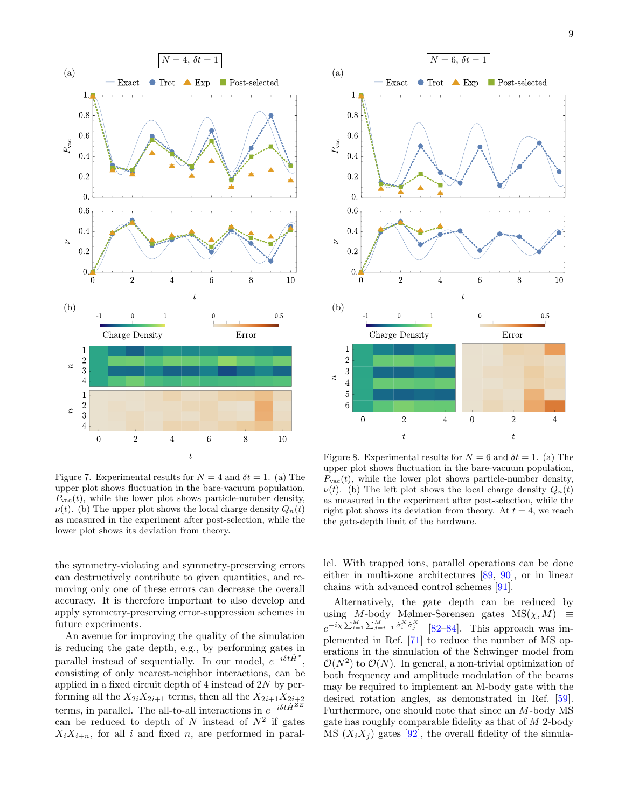

<span id="page-8-0"></span>Figure 7. Experimental results for  $N = 4$  and  $\delta t = 1$ . (a) The upper plot shows fluctuation in the bare-vacuum population,  $P_{\text{vac}}(t)$ , while the lower plot shows particle-number density,  $\nu(t)$ . (b) The upper plot shows the local charge density  $Q_n(t)$ as measured in the experiment after post-selection, while the lower plot shows its deviation from theory.

the symmetry-violating and symmetry-preserving errors can destructively contribute to given quantities, and removing only one of these errors can decrease the overall accuracy. It is therefore important to also develop and apply symmetry-preserving error-suppression schemes in future experiments.

An avenue for improving the quality of the simulation is reducing the gate depth, e.g., by performing gates in parallel instead of sequentially. In our model,  $e^{-i\delta t \hat{H}^x}$ , consisting of only nearest-neighbor interactions, can be applied in a fixed circuit depth of 4 instead of 2N by performing all the  $X_{2i}X_{2i+1}$  terms, then all the  $X_{2i+1}X_{2i+2}$ terms, in parallel. The all-to-all interactions in  $e^{-i\delta t \hat{H}^{ZZ}}$ can be reduced to depth of N instead of  $N^2$  if gates  $X_iX_{i+n}$ , for all i and fixed n, are performed in paral-



<span id="page-8-1"></span>Figure 8. Experimental results for  $N = 6$  and  $\delta t = 1$ . (a) The upper plot shows fluctuation in the bare-vacuum population,  $P_{\text{vac}}(t)$ , while the lower plot shows particle-number density,  $\nu(t)$ . (b) The left plot shows the local charge density  $Q_n(t)$ as measured in the experiment after post-selection, while the right plot shows its deviation from theory. At  $t = 4$ , we reach the gate-depth limit of the hardware.

lel. With trapped ions, parallel operations can be done either in multi-zone architectures [\[89,](#page-13-18) [90\]](#page-13-19), or in linear chains with advanced control schemes [\[91\]](#page-13-20).

Alternatively, the gate depth can be reduced by using M-body Mølmer-Sørensen gates  $MS(\chi, M) \equiv$  $e^{-i\chi\sum_{i=1}^{M}\sum_{j=i+1}^{M}\hat{\sigma}_{i}^{X}\hat{\sigma}_{j}^{X}}$  [\[82](#page-13-12)[–84\]](#page-13-13). This approach was implemented in Ref. [\[71\]](#page-13-1) to reduce the number of MS operations in the simulation of the Schwinger model from  $\mathcal{O}(N^2)$  to  $\mathcal{O}(N)$ . In general, a non-trivial optimization of both frequency and amplitude modulation of the beams may be required to implement an M-body gate with the desired rotation angles, as demonstrated in Ref. [\[59\]](#page-12-14). Furthermore, one should note that since an M-body MS gate has roughly comparable fidelity as that of M 2-body MS  $(X_i X_j)$  gates [\[92\]](#page-13-21), the overall fidelity of the simula-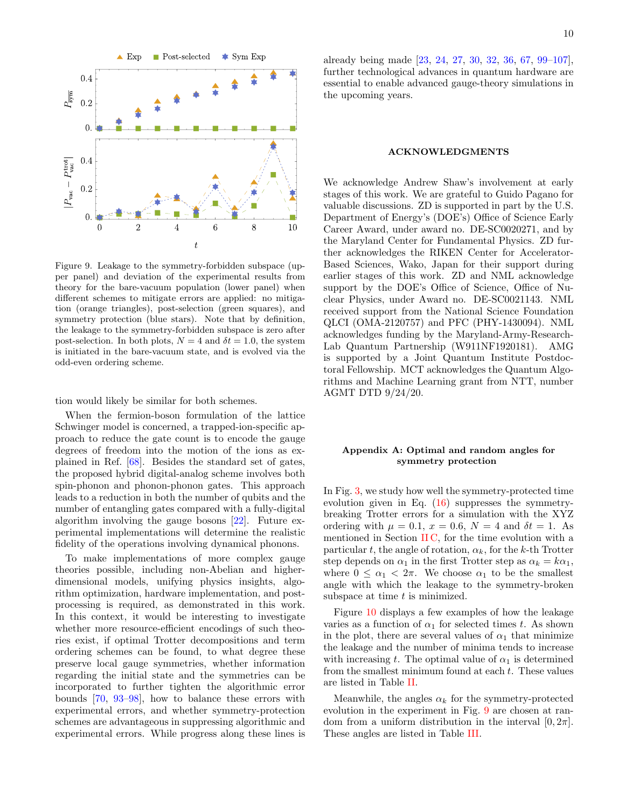

<span id="page-9-1"></span>Figure 9. Leakage to the symmetry-forbidden subspace (upper panel) and deviation of the experimental results from theory for the bare-vacuum population (lower panel) when different schemes to mitigate errors are applied: no mitigation (orange triangles), post-selection (green squares), and symmetry protection (blue stars). Note that by definition, the leakage to the symmetry-forbidden subspace is zero after post-selection. In both plots,  $N = 4$  and  $\delta t = 1.0$ , the system is initiated in the bare-vacuum state, and is evolved via the odd-even ordering scheme.

tion would likely be similar for both schemes.

When the fermion-boson formulation of the lattice Schwinger model is concerned, a trapped-ion-specific approach to reduce the gate count is to encode the gauge degrees of freedom into the motion of the ions as explained in Ref. [\[68\]](#page-13-22). Besides the standard set of gates, the proposed hybrid digital-analog scheme involves both spin-phonon and phonon-phonon gates. This approach leads to a reduction in both the number of qubits and the number of entangling gates compared with a fully-digital algorithm involving the gauge bosons [\[22\]](#page-11-5). Future experimental implementations will determine the realistic fidelity of the operations involving dynamical phonons.

To make implementations of more complex gauge theories possible, including non-Abelian and higherdimensional models, unifying physics insights, algorithm optimization, hardware implementation, and postprocessing is required, as demonstrated in this work. In this context, it would be interesting to investigate whether more resource-efficient encodings of such theories exist, if optimal Trotter decompositions and term ordering schemes can be found, to what degree these preserve local gauge symmetries, whether information regarding the initial state and the symmetries can be incorporated to further tighten the algorithmic error bounds [\[70,](#page-13-0) [93](#page-13-23)[–98\]](#page-13-24), how to balance these errors with experimental errors, and whether symmetry-protection schemes are advantageous in suppressing algorithmic and experimental errors. While progress along these lines is already being made [\[23,](#page-11-7) [24,](#page-11-6) [27,](#page-11-8) [30,](#page-11-9) [32,](#page-12-15) [36,](#page-12-0) [67,](#page-12-16) [99–](#page-13-25)[107\]](#page-14-0), further technological advances in quantum hardware are essential to enable advanced gauge-theory simulations in the upcoming years.

#### ACKNOWLEDGMENTS

We acknowledge Andrew Shaw's involvement at early stages of this work. We are grateful to Guido Pagano for valuable discussions. ZD is supported in part by the U.S. Department of Energy's (DOE's) Office of Science Early Career Award, under award no. DE-SC0020271, and by the Maryland Center for Fundamental Physics. ZD further acknowledges the RIKEN Center for Accelerator-Based Sciences, Wako, Japan for their support during earlier stages of this work. ZD and NML acknowledge support by the DOE's Office of Science, Office of Nuclear Physics, under Award no. DE-SC0021143. NML received support from the National Science Foundation QLCI (OMA-2120757) and PFC (PHY-1430094). NML acknowledges funding by the Maryland-Army-Research-Lab Quantum Partnership (W911NF1920181). AMG is supported by a Joint Quantum Institute Postdoctoral Fellowship. MCT acknowledges the Quantum Algorithms and Machine Learning grant from NTT, number AGMT DTD 9/24/20.

## <span id="page-9-0"></span>Appendix A: Optimal and random angles for symmetry protection

In Fig. [3,](#page-5-0) we study how well the symmetry-protected time evolution given in Eq. [\(16\)](#page-4-1) suppresses the symmetrybreaking Trotter errors for a simulation with the XYZ ordering with  $\mu = 0.1$ ,  $x = 0.6$ ,  $N = 4$  and  $\delta t = 1$ . As mentioned in Section [II C,](#page-4-2) for the time evolution with a particular t, the angle of rotation,  $\alpha_k$ , for the k-th Trotter step depends on  $\alpha_1$  in the first Trotter step as  $\alpha_k = k\alpha_1$ , where  $0 \leq \alpha_1 < 2\pi$ . We choose  $\alpha_1$  to be the smallest angle with which the leakage to the symmetry-broken subspace at time  $t$  is minimized.

Figure [10](#page-10-4) displays a few examples of how the leakage varies as a function of  $\alpha_1$  for selected times t. As shown in the plot, there are several values of  $\alpha_1$  that minimize the leakage and the number of minima tends to increase with increasing t. The optimal value of  $\alpha_1$  is determined from the smallest minimum found at each  $t$ . These values are listed in Table [II.](#page-10-5)

Meanwhile, the angles  $\alpha_k$  for the symmetry-protected evolution in the experiment in Fig. [9](#page-9-1) are chosen at random from a uniform distribution in the interval  $[0, 2\pi]$ . These angles are listed in Table [III.](#page-11-10)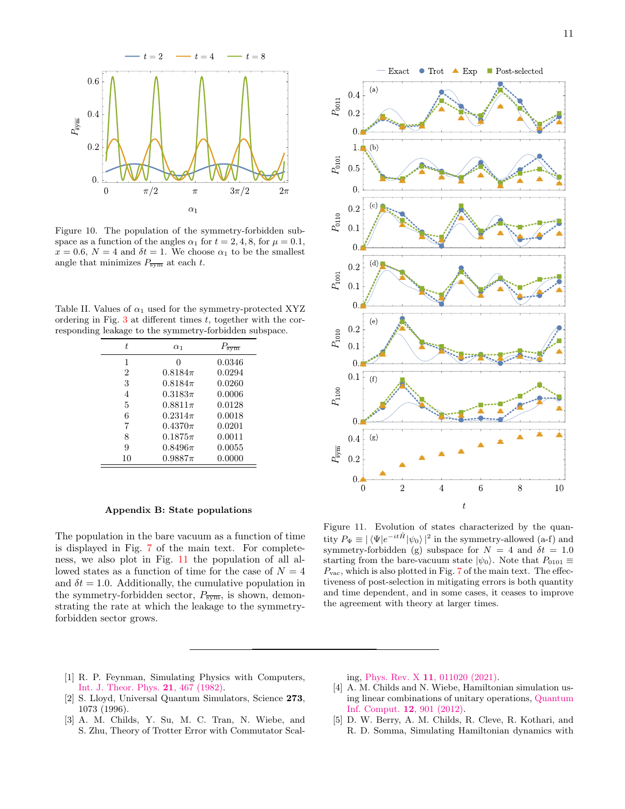

<span id="page-10-4"></span>Figure 10. The population of the symmetry-forbidden subspace as a function of the angles  $\alpha_1$  for  $t = 2, 4, 8$ , for  $\mu = 0.1$ ,  $x = 0.6$ ,  $N = 4$  and  $\delta t = 1$ . We choose  $\alpha_1$  to be the smallest angle that minimizes  $P_{\overline{\text{sym}}}$  at each t.

<span id="page-10-5"></span>Table II. Values of  $\alpha_1$  used for the symmetry-protected XYZ ordering in Fig.  $3$  at different times  $t$ , together with the corresponding leakage to the symmetry-forbidden subspace.

| t. | $\alpha_1$  | $P_{\overline{\mathrm{sym}}}$ |
|----|-------------|-------------------------------|
| 1  | 0           | 0.0346                        |
| 2  | $0.8184\pi$ | 0.0294                        |
| 3  | $0.8184\pi$ | 0.0260                        |
| 4  | $0.3183\pi$ | 0.0006                        |
| 5  | $0.8811\pi$ | 0.0128                        |
| 6  | $0.2314\pi$ | 0.0018                        |
| 7  | $0.4370\pi$ | 0.0201                        |
| 8  | $0.1875\pi$ | 0.0011                        |
| 9  | $0.8496\pi$ | 0.0055                        |
| 10 | $0.9887\pi$ | 0.0000                        |

## <span id="page-10-3"></span>Appendix B: State populations

The population in the bare vacuum as a function of time is displayed in Fig. [7](#page-8-0) of the main text. For completeness, we also plot in Fig. [11](#page-10-6) the population of all allowed states as a function of time for the case of  $N = 4$ and  $\delta t = 1.0$ . Additionally, the cumulative population in the symmetry-forbidden sector,  $P_{\overline{\text{sym}}}$ , is shown, demonstrating the rate at which the leakage to the symmetryforbidden sector grows.



<span id="page-10-6"></span>Figure 11. Evolution of states characterized by the quantity  $P_{\Psi} \equiv |\langle \Psi | e^{-it\hat{H}} | \psi_0 \rangle|^2$  in the symmetry-allowed (a-f) and symmetry-forbidden (g) subspace for  $N = 4$  and  $\delta t = 1.0$ starting from the bare-vacuum state  $|\psi_0\rangle$ . Note that  $P_{0101} \equiv$  $P_{\text{vac}}$ , which is also plotted in Fig. [7](#page-8-0) of the main text. The effectiveness of post-selection in mitigating errors is both quantity and time dependent, and in some cases, it ceases to improve the agreement with theory at larger times.

- <span id="page-10-0"></span>[1] R. P. Feynman, Simulating Physics with Computers, [Int. J. Theor. Phys.](https://doi.org/10.1007/BF02650179) 21, 467 (1982).
- <span id="page-10-1"></span>[2] S. Lloyd, Universal Quantum Simulators, Science 273, 1073 (1996).
- <span id="page-10-2"></span>[3] A. M. Childs, Y. Su, M. C. Tran, N. Wiebe, and S. Zhu, Theory of Trotter Error with Commutator Scal-

ing, Phys. Rev. X 11[, 011020 \(2021\).](https://doi.org/10.1103/PhysRevX.11.011020)

- [4] A. M. Childs and N. Wiebe, Hamiltonian simulation using linear combinations of unitary operations, [Quantum](https://doi.org/10.26421/QIC12.11-12) [Inf. Comput.](https://doi.org/10.26421/QIC12.11-12) 12, 901 (2012).
- [5] D. W. Berry, A. M. Childs, R. Cleve, R. Kothari, and R. D. Somma, Simulating Hamiltonian dynamics with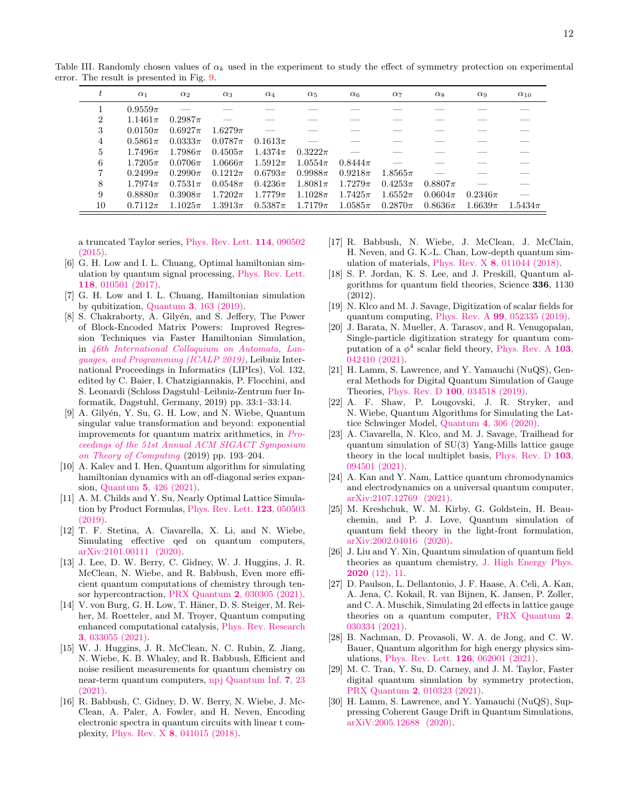|                | $\alpha_1$   | $\alpha_2$  | $\alpha_3$  | $\alpha_4$  | $\alpha_5$   | $\alpha_6$  | $\alpha$    | $\alpha_8$  | $\alpha_9$  | $\alpha_{10}$ |
|----------------|--------------|-------------|-------------|-------------|--------------|-------------|-------------|-------------|-------------|---------------|
|                | $0.9559\pi$  |             |             |             |              |             |             |             |             |               |
| $\overline{2}$ | $1.1461\pi$  | $0.2987\pi$ |             |             |              |             |             |             |             |               |
| 3              | $0.0150\pi$  | $0.6927\pi$ | $1.6279\pi$ |             |              |             |             |             |             |               |
| 4              | $0.5861\pi$  | $0.0333\pi$ | $0.0787\pi$ | $0.1613\pi$ |              |             |             |             |             |               |
| 5              | 1.7496 $\pi$ | $1.7986\pi$ | $0.4505\pi$ | $1.4374\pi$ | $0.3222\pi$  |             |             |             |             |               |
| 6              | $1.7205\pi$  | $0.0706\pi$ | $1.0666\pi$ | $1.5912\pi$ | 1.0554 $\pi$ | $0.8444\pi$ |             |             |             |               |
| 7              | $0.2499\pi$  | $0.2990\pi$ | $0.1212\pi$ | $0.6793\pi$ | $0.9988\pi$  | $0.9218\pi$ | $1.8565\pi$ |             |             |               |
| 8              | 1.7974 $\pi$ | $0.7531\pi$ | $0.0548\pi$ | $0.4236\pi$ | $1.8081\pi$  | $1.7279\pi$ | $0.4253\pi$ | $0.8807\pi$ |             |               |
| 9              | $0.8880\pi$  | $0.3908\pi$ | $1.7202\pi$ | $1.7779\pi$ | $1.1028\pi$  | $1.7425\pi$ | $1.6552\pi$ | $0.0604\pi$ | $0.2346\pi$ |               |
| 10             | $0.7112\pi$  | $1.1025\pi$ | $1.3913\pi$ | $0.5387\pi$ | $1.7179\pi$  | $1.0585\pi$ | $0.2870\pi$ | $0.8636\pi$ | $1.6639\pi$ | $1.5434\pi$   |

<span id="page-11-10"></span>Table III. Randomly chosen values of  $\alpha_k$  used in the experiment to study the effect of symmetry protection on experimental error. The result is presented in Fig. [9.](#page-9-1)

a truncated Taylor series, [Phys. Rev. Lett.](https://doi.org/10.1103/PhysRevLett.114.090502) 114, 090502 [\(2015\).](https://doi.org/10.1103/PhysRevLett.114.090502)

- [6] G. H. Low and I. L. Chuang, Optimal hamiltonian simulation by quantum signal processing, [Phys. Rev. Lett.](https://doi.org/10.1103/PhysRevLett.118.010501) 118[, 010501 \(2017\).](https://doi.org/10.1103/PhysRevLett.118.010501)
- [7] G. H. Low and I. L. Chuang, Hamiltonian simulation by qubitization, Quantum 3[, 163 \(2019\).](https://doi.org/10.22331/q-2019-07-12-163)
- [8] S. Chakraborty, A. Gilyén, and S. Jeffery, The Power of Block-Encoded Matrix Powers: Improved Regression Techniques via Faster Hamiltonian Simulation, in [46th International Colloquium on Automata, Lan](https://doi.org/10.4230/LIPIcs.ICALP.2019.33)[guages, and Programming \(ICALP 2019\)](https://doi.org/10.4230/LIPIcs.ICALP.2019.33), Leibniz International Proceedings in Informatics (LIPIcs), Vol. 132, edited by C. Baier, I. Chatzigiannakis, P. Flocchini, and S. Leonardi (Schloss Dagstuhl–Leibniz-Zentrum fuer Informatik, Dagstuhl, Germany, 2019) pp. 33:1–33:14.
- [9] A. Gilyén, Y. Su, G. H. Low, and N. Wiebe, Quantum singular value transformation and beyond: exponential improvements for quantum matrix arithmetics, in [Pro](https://doi.org/10.1145/3313276.3316366)[ceedings of the 51st Annual ACM SIGACT Symposium](https://doi.org/10.1145/3313276.3316366) [on Theory of Computing](https://doi.org/10.1145/3313276.3316366) (2019) pp. 193–204.
- <span id="page-11-0"></span>[10] A. Kalev and I. Hen, Quantum algorithm for simulating hamiltonian dynamics with an off-diagonal series expansion, Quantum 5[, 426 \(2021\).](https://doi.org/10.22331/q-2021-04-08-426)
- <span id="page-11-1"></span>[11] A. M. Childs and Y. Su, Nearly Optimal Lattice Simulation by Product Formulas, [Phys. Rev. Lett.](https://doi.org/10.1103/PhysRevLett.123.050503) 123, 050503 [\(2019\).](https://doi.org/10.1103/PhysRevLett.123.050503)
- <span id="page-11-2"></span>[12] T. F. Stetina, A. Ciavarella, X. Li, and N. Wiebe, Simulating effective qed on quantum computers, [arXiv:2101.00111 \(2020\).](https://arxiv.org/abs/2101.00111)
- [13] J. Lee, D. W. Berry, C. Gidney, W. J. Huggins, J. R. McClean, N. Wiebe, and R. Babbush, Even more efficient quantum computations of chemistry through tensor hypercontraction, PRX Quantum 2[, 030305 \(2021\).](https://doi.org/10.1103/PRXQuantum.2.030305)
- [14] V. von Burg, G. H. Low, T. Häner, D. S. Steiger, M. Reiher, M. Roetteler, and M. Troyer, Quantum computing enhanced computational catalysis, [Phys. Rev. Research](https://doi.org/10.1103/PhysRevResearch.3.033055) 3[, 033055 \(2021\).](https://doi.org/10.1103/PhysRevResearch.3.033055)
- [15] W. J. Huggins, J. R. McClean, N. C. Rubin, Z. Jiang, N. Wiebe, K. B. Whaley, and R. Babbush, Efficient and noise resilient measurements for quantum chemistry on near-term quantum computers, [npj Quantum Inf.](https://doi.org/10.1038/s41534-020-00341-7) 7, 23 [\(2021\).](https://doi.org/10.1038/s41534-020-00341-7)
- [16] R. Babbush, C. Gidney, D. W. Berry, N. Wiebe, J. Mc-Clean, A. Paler, A. Fowler, and H. Neven, Encoding electronic spectra in quantum circuits with linear t complexity, Phys. Rev. X 8[, 041015 \(2018\).](https://doi.org/10.1103/PhysRevX.8.041015)
- [17] R. Babbush, N. Wiebe, J. McClean, J. McClain, H. Neven, and G. K.-L. Chan, Low-depth quantum simulation of materials, Phys. Rev. X 8[, 011044 \(2018\).](https://doi.org/10.1103/PhysRevX.8.011044)
- [18] S. P. Jordan, K. S. Lee, and J. Preskill, Quantum algorithms for quantum field theories, Science 336, 1130  $(2012)$
- [19] N. Klco and M. J. Savage, Digitization of scalar fields for quantum computing, Phys. Rev. A 99[, 052335 \(2019\).](https://doi.org/10.1103/PhysRevA.99.052335)
- [20] J. Barata, N. Mueller, A. Tarasov, and R. Venugopalan, Single-particle digitization strategy for quantum computation of a  $\phi^4$  scalar field theory, [Phys. Rev. A](https://doi.org/10.1103/PhysRevA.103.042410) 103, [042410 \(2021\).](https://doi.org/10.1103/PhysRevA.103.042410)
- [21] H. Lamm, S. Lawrence, and Y. Yamauchi (NuQS), General Methods for Digital Quantum Simulation of Gauge Theories, Phys. Rev. D 100[, 034518 \(2019\).](https://doi.org/10.1103/PhysRevD.100.034518)
- <span id="page-11-5"></span>[22] A. F. Shaw, P. Lougovski, J. R. Stryker, and N. Wiebe, Quantum Algorithms for Simulating the Lattice Schwinger Model, Quantum 4[, 306 \(2020\).](https://doi.org/10.22331/q-2020-08-10-306)
- <span id="page-11-7"></span>[23] A. Ciavarella, N. Klco, and M. J. Savage, Trailhead for quantum simulation of SU(3) Yang-Mills lattice gauge theory in the local multiplet basis, [Phys. Rev. D](https://doi.org/10.1103/PhysRevD.103.094501) 103, [094501 \(2021\).](https://doi.org/10.1103/PhysRevD.103.094501)
- <span id="page-11-6"></span>[24] A. Kan and Y. Nam, Lattice quantum chromodynamics and electrodynamics on a universal quantum computer, [arXiv:2107.12769 \(2021\).](https://arxiv.org/abs/2107.12769)
- [25] M. Kreshchuk, W. M. Kirby, G. Goldstein, H. Beauchemin, and P. J. Love, Quantum simulation of quantum field theory in the light-front formulation, [arXiv:2002.04016 \(2020\).](https://arxiv.org/abs/2002.04016)
- [26] J. Liu and Y. Xin, Quantum simulation of quantum field theories as quantum chemistry, [J. High Energy Phys.](https://doi.org/10.1007/JHEP12(2020)011) 2020 [\(12\), 11.](https://doi.org/10.1007/JHEP12(2020)011)
- <span id="page-11-8"></span>[27] D. Paulson, L. Dellantonio, J. F. Haase, A. Celi, A. Kan, A. Jena, C. Kokail, R. van Bijnen, K. Jansen, P. Zoller, and C. A. Muschik, Simulating 2d effects in lattice gauge theories on a quantum computer, [PRX Quantum](https://doi.org/10.1103/PRXQuantum.2.030334) 2, [030334 \(2021\).](https://doi.org/10.1103/PRXQuantum.2.030334)
- <span id="page-11-3"></span>[28] B. Nachman, D. Provasoli, W. A. de Jong, and C. W. Bauer, Quantum algorithm for high energy physics simulations, [Phys. Rev. Lett.](https://doi.org/10.1103/PhysRevLett.126.062001) 126, 062001 (2021).
- <span id="page-11-4"></span>[29] M. C. Tran, Y. Su, D. Carney, and J. M. Taylor, Faster digital quantum simulation by symmetry protection, PRX Quantum 2[, 010323 \(2021\).](https://doi.org/10.1103/PRXQuantum.2.010323)
- <span id="page-11-9"></span>[30] H. Lamm, S. Lawrence, and Y. Yamauchi (NuQS), Suppressing Coherent Gauge Drift in Quantum Simulations, [arXiV:2005.12688 \(2020\).](https://arxiv.org/abs/2005.12688)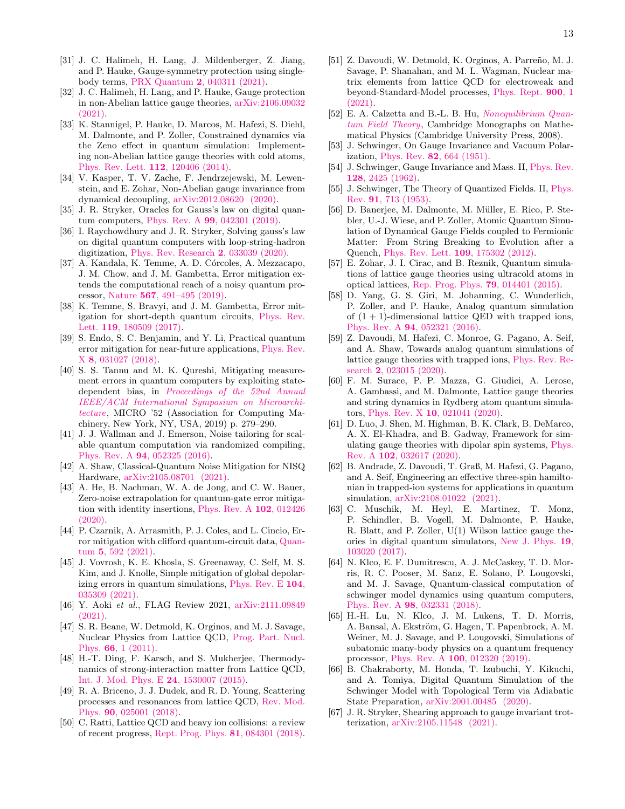- [31] J. C. Halimeh, H. Lang, J. Mildenberger, Z. Jiang, and P. Hauke, Gauge-symmetry protection using singlebody terms, PRX Quantum 2[, 040311 \(2021\).](https://doi.org/10.1103/PRXQuantum.2.040311)
- <span id="page-12-15"></span>[32] J. C. Halimeh, H. Lang, and P. Hauke, Gauge protection in non-Abelian lattice gauge theories, [arXiv:2106.09032](https://arxiv.org/abs/2106.09032) [\(2021\).](https://arxiv.org/abs/2106.09032)
- [33] K. Stannigel, P. Hauke, D. Marcos, M. Hafezi, S. Diehl, M. Dalmonte, and P. Zoller, Constrained dynamics via the Zeno effect in quantum simulation: Implementing non-Abelian lattice gauge theories with cold atoms, [Phys. Rev. Lett.](https://doi.org/10.1103/PhysRevLett.112.120406) 112, 120406 (2014).
- [34] V. Kasper, T. V. Zache, F. Jendrzejewski, M. Lewenstein, and E. Zohar, Non-Abelian gauge invariance from dynamical decoupling, [arXiv:2012.08620 \(2020\).](https://arxiv.org/abs/2012.08620)
- [35] J. R. Stryker, Oracles for Gauss's law on digital quantum computers, Phys. Rev. A 99[, 042301 \(2019\).](https://doi.org/10.1103/PhysRevA.99.042301)
- <span id="page-12-0"></span>[36] I. Raychowdhury and J. R. Stryker, Solving gauss's law on digital quantum computers with loop-string-hadron digitization, [Phys. Rev. Research](https://doi.org/10.1103/PhysRevResearch.2.033039) 2, 033039 (2020).
- <span id="page-12-1"></span>[37] A. Kandala, K. Temme, A. D. Córcoles, A. Mezzacapo, J. M. Chow, and J. M. Gambetta, Error mitigation extends the computational reach of a noisy quantum processor, Nature 567[, 491–495 \(2019\).](https://doi.org/10.1038/s41586-019-1040-7)
- [38] K. Temme, S. Bravyi, and J. M. Gambetta, Error mitigation for short-depth quantum circuits, [Phys. Rev.](https://doi.org/10.1103/PhysRevLett.119.180509) Lett. 119[, 180509 \(2017\).](https://doi.org/10.1103/PhysRevLett.119.180509)
- [39] S. Endo, S. C. Benjamin, and Y. Li, Practical quantum error mitigation for near-future applications, [Phys. Rev.](https://doi.org/10.1103/PhysRevX.8.031027) X 8[, 031027 \(2018\).](https://doi.org/10.1103/PhysRevX.8.031027)
- [40] S. S. Tannu and M. K. Qureshi, Mitigating measurement errors in quantum computers by exploiting statedependent bias, in [Proceedings of the 52nd Annual](https://doi.org/10.1145/3352460.3358265) [IEEE/ACM International Symposium on Microarchi](https://doi.org/10.1145/3352460.3358265)[tecture](https://doi.org/10.1145/3352460.3358265), MICRO '52 (Association for Computing Machinery, New York, NY, USA, 2019) p. 279–290.
- [41] J. J. Wallman and J. Emerson, Noise tailoring for scalable quantum computation via randomized compiling, Phys. Rev. A 94[, 052325 \(2016\).](https://doi.org/10.1103/PhysRevA.94.052325)
- [42] A. Shaw, Classical-Quantum Noise Mitigation for NISQ Hardware, [arXiv:2105.08701 \(2021\).](https://arxiv.org/abs/2105.08701)
- [43] A. He, B. Nachman, W. A. de Jong, and C. W. Bauer, Zero-noise extrapolation for quantum-gate error mitigation with identity insertions, [Phys. Rev. A](https://doi.org/10.1103/PhysRevA.102.012426) 102, 012426 [\(2020\).](https://doi.org/10.1103/PhysRevA.102.012426)
- [44] P. Czarnik, A. Arrasmith, P. J. Coles, and L. Cincio, Error mitigation with clifford quantum-circuit data, [Quan](https://doi.org/10.22331/q-2021-11-26-592)tum 5[, 592 \(2021\).](https://doi.org/10.22331/q-2021-11-26-592)
- <span id="page-12-2"></span>[45] J. Vovrosh, K. E. Khosla, S. Greenaway, C. Self, M. S. Kim, and J. Knolle, Simple mitigation of global depolarizing errors in quantum simulations, [Phys. Rev. E](https://doi.org/10.1103/PhysRevE.104.035309) 104, [035309 \(2021\).](https://doi.org/10.1103/PhysRevE.104.035309)
- <span id="page-12-3"></span>[46] Y. Aoki et al., FLAG Review 2021, [arXiv:2111.09849](https://arxiv.org/abs/2111.09849)  $(2021)$ .
- [47] S. R. Beane, W. Detmold, K. Orginos, and M. J. Savage, Nuclear Physics from Lattice QCD, [Prog. Part. Nucl.](https://doi.org/10.1016/j.ppnp.2010.08.002) Phys. 66[, 1 \(2011\).](https://doi.org/10.1016/j.ppnp.2010.08.002)
- [48] H.-T. Ding, F. Karsch, and S. Mukherjee, Thermodynamics of strong-interaction matter from Lattice QCD, [Int. J. Mod. Phys. E](https://doi.org/10.1142/S0218301315300076) 24, 1530007 (2015).
- [49] R. A. Briceno, J. J. Dudek, and R. D. Young, Scattering processes and resonances from lattice QCD, [Rev. Mod.](https://doi.org/10.1103/RevModPhys.90.025001) Phys. 90[, 025001 \(2018\).](https://doi.org/10.1103/RevModPhys.90.025001)
- [50] C. Ratti, Lattice QCD and heavy ion collisions: a review of recent progress, [Rept. Prog. Phys.](https://doi.org/10.1088/1361-6633/aabb97) 81, 084301 (2018).
- <span id="page-12-4"></span>[51] Z. Davoudi, W. Detmold, K. Orginos, A. Parreño, M. J. Savage, P. Shanahan, and M. L. Wagman, Nuclear matrix elements from lattice QCD for electroweak and beyond-Standard-Model processes, [Phys. Rept.](https://doi.org/10.1016/j.physrep.2020.10.004) 900, 1 [\(2021\).](https://doi.org/10.1016/j.physrep.2020.10.004)
- <span id="page-12-5"></span>[52] E. A. Calzetta and B.-L. B. Hu, [Nonequilibrium Quan](https://doi.org/10.1017/CBO9780511535123)[tum Field Theory](https://doi.org/10.1017/CBO9780511535123), Cambridge Monographs on Mathematical Physics (Cambridge University Press, 2008).
- <span id="page-12-6"></span>[53] J. Schwinger, On Gauge Invariance and Vacuum Polarization, Phys. Rev. 82[, 664 \(1951\).](https://doi.org/10.1103/PhysRev.82.664)
- <span id="page-12-7"></span>[54] J. Schwinger, Gauge Invariance and Mass. II, [Phys. Rev.](https://doi.org/10.1103/PhysRev.128.2425) 128[, 2425 \(1962\).](https://doi.org/10.1103/PhysRev.128.2425)
- <span id="page-12-8"></span>[55] J. Schwinger, The Theory of Quantized Fields. II, [Phys.](https://doi.org/10.1103/PhysRev.91.713) Rev. 91[, 713 \(1953\).](https://doi.org/10.1103/PhysRev.91.713)
- <span id="page-12-9"></span>[56] D. Banerjee, M. Dalmonte, M. Müller, E. Rico, P. Stebler, U.-J. Wiese, and P. Zoller, Atomic Quantum Simulation of Dynamical Gauge Fields coupled to Fermionic Matter: From String Breaking to Evolution after a Quench, [Phys. Rev. Lett.](https://doi.org/10.1103/PhysRevLett.109.175302) 109, 175302 (2012).
- [57] E. Zohar, J. I. Cirac, and B. Reznik, Quantum simulations of lattice gauge theories using ultracold atoms in optical lattices, [Rep. Prog. Phys.](https://doi.org/10.1088/0034-4885/79/1/014401) 79, 014401 (2015).
- [58] D. Yang, G. S. Giri, M. Johanning, C. Wunderlich, P. Zoller, and P. Hauke, Analog quantum simulation of  $(1 + 1)$ -dimensional lattice QED with trapped ions, Phys. Rev. A 94[, 052321 \(2016\).](https://doi.org/10.1103/PhysRevA.94.052321)
- <span id="page-12-14"></span>[59] Z. Davoudi, M. Hafezi, C. Monroe, G. Pagano, A. Seif, and A. Shaw, Towards analog quantum simulations of lattice gauge theories with trapped ions, [Phys. Rev. Re](https://doi.org/10.1103/PhysRevResearch.2.023015)search 2[, 023015 \(2020\).](https://doi.org/10.1103/PhysRevResearch.2.023015)
- <span id="page-12-12"></span>[60] F. M. Surace, P. P. Mazza, G. Giudici, A. Lerose, A. Gambassi, and M. Dalmonte, Lattice gauge theories and string dynamics in Rydberg atom quantum simulators, Phys. Rev. X 10[, 021041 \(2020\).](https://doi.org/10.1103/PhysRevX.10.021041)
- [61] D. Luo, J. Shen, M. Highman, B. K. Clark, B. DeMarco, A. X. El-Khadra, and B. Gadway, Framework for simulating gauge theories with dipolar spin systems, [Phys.](https://doi.org/10.1103/PhysRevA.102.032617) Rev. A 102[, 032617 \(2020\).](https://doi.org/10.1103/PhysRevA.102.032617)
- <span id="page-12-10"></span>[62] B. Andrade, Z. Davoudi, T. Graß, M. Hafezi, G. Pagano, and A. Seif, Engineering an effective three-spin hamiltonian in trapped-ion systems for applications in quantum simulation, [arXiv:2108.01022 \(2021\).](https://arxiv.org/abs/2108.01022)
- <span id="page-12-11"></span>[63] C. Muschik, M. Heyl, E. Martinez, T. Monz, P. Schindler, B. Vogell, M. Dalmonte, P. Hauke, R. Blatt, and P. Zoller, U(1) Wilson lattice gauge theories in digital quantum simulators, [New J. Phys.](https://doi.org/10.1088/1367-2630/aa89ab) 19, [103020 \(2017\).](https://doi.org/10.1088/1367-2630/aa89ab)
- <span id="page-12-13"></span>[64] N. Klco, E. F. Dumitrescu, A. J. McCaskey, T. D. Morris, R. C. Pooser, M. Sanz, E. Solano, P. Lougovski, and M. J. Savage, Quantum-classical computation of schwinger model dynamics using quantum computers, Phys. Rev. A 98[, 032331 \(2018\).](https://doi.org/10.1103/PhysRevA.98.032331)
- [65] H.-H. Lu, N. Klco, J. M. Lukens, T. D. Morris, A. Bansal, A. Ekström, G. Hagen, T. Papenbrock, A. M. Weiner, M. J. Savage, and P. Lougovski, Simulations of subatomic many-body physics on a quantum frequency processor, Phys. Rev. A 100[, 012320 \(2019\).](https://doi.org/10.1103/PhysRevA.100.012320)
- [66] B. Chakraborty, M. Honda, T. Izubuchi, Y. Kikuchi, and A. Tomiya, Digital Quantum Simulation of the Schwinger Model with Topological Term via Adiabatic State Preparation, [arXiv:2001.00485 \(2020\).](https://arxiv.org/abs/2001.00485)
- <span id="page-12-16"></span>[67] J. R. Stryker, Shearing approach to gauge invariant trotterization, [arXiv:2105.11548 \(2021\).](https://arxiv.org/abs/2105.11548)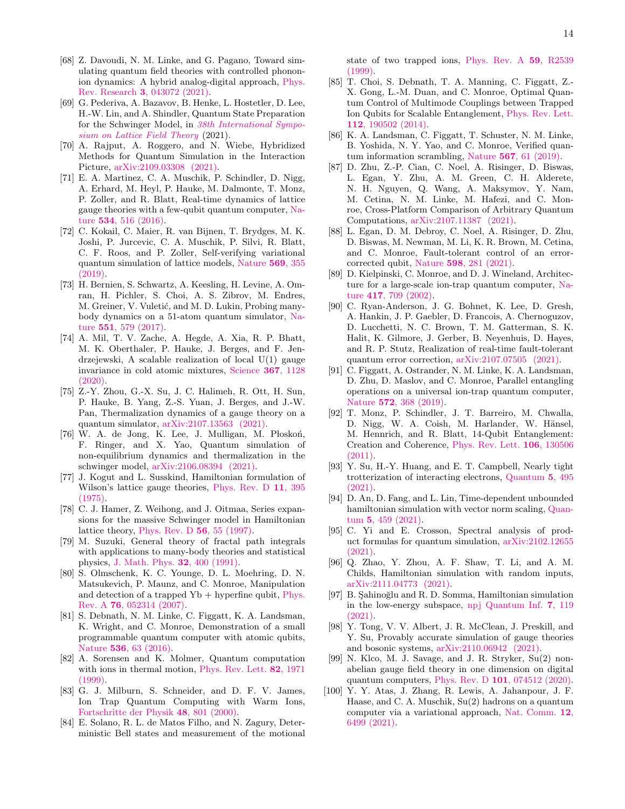- <span id="page-13-22"></span>[68] Z. Davoudi, N. M. Linke, and G. Pagano, Toward simulating quantum field theories with controlled phononion dynamics: A hybrid analog-digital approach, [Phys.](https://doi.org/10.1103/PhysRevResearch.3.043072) Rev. Research 3[, 043072 \(2021\).](https://doi.org/10.1103/PhysRevResearch.3.043072)
- [69] G. Pederiva, A. Bazavov, B. Henke, L. Hostetler, D. Lee, H.-W. Lin, and A. Shindler, Quantum State Preparation for the Schwinger Model, in [38th International Sympo](https://arxiv.org/abs/2109.11859)[sium on Lattice Field Theory](https://arxiv.org/abs/2109.11859) (2021).
- <span id="page-13-0"></span>[70] A. Rajput, A. Roggero, and N. Wiebe, Hybridized Methods for Quantum Simulation in the Interaction Picture, [arXiv:2109.03308 \(2021\).](https://arxiv.org/abs/2109.03308)
- <span id="page-13-1"></span>[71] E. A. Martinez, C. A. Muschik, P. Schindler, D. Nigg, A. Erhard, M. Heyl, P. Hauke, M. Dalmonte, T. Monz, P. Zoller, and R. Blatt, Real-time dynamics of lattice gauge theories with a few-qubit quantum computer, [Na](https://doi.org/10.1038/nature18318)ture 534[, 516 \(2016\).](https://doi.org/10.1038/nature18318)
- <span id="page-13-2"></span>[72] C. Kokail, C. Maier, R. van Bijnen, T. Brydges, M. K. Joshi, P. Jurcevic, C. A. Muschik, P. Silvi, R. Blatt, C. F. Roos, and P. Zoller, Self-verifying variational quantum simulation of lattice models, [Nature](https://doi.org/10.1038/s41586-019-1177-4) 569, 355 [\(2019\).](https://doi.org/10.1038/s41586-019-1177-4)
- <span id="page-13-3"></span>[73] H. Bernien, S. Schwartz, A. Keesling, H. Levine, A. Omran, H. Pichler, S. Choi, A. S. Zibrov, M. Endres, M. Greiner, V. Vuletić, and M. D. Lukin, Probing manybody dynamics on a 51-atom quantum simulator, [Na](https://doi.org/10.1038/nature24622)ture 551[, 579 \(2017\).](https://doi.org/10.1038/nature24622)
- <span id="page-13-4"></span>[74] A. Mil, T. V. Zache, A. Hegde, A. Xia, R. P. Bhatt, M. K. Oberthaler, P. Hauke, J. Berges, and F. Jendrzejewski, A scalable realization of local U(1) gauge invariance in cold atomic mixtures, [Science](https://doi.org/10.1126/science.aaz5312) 367, 1128  $(2020)$ .
- <span id="page-13-5"></span>[75] Z.-Y. Zhou, G.-X. Su, J. C. Halimeh, R. Ott, H. Sun, P. Hauke, B. Yang, Z.-S. Yuan, J. Berges, and J.-W. Pan, Thermalization dynamics of a gauge theory on a quantum simulator, [arXiv:2107.13563 \(2021\).](https://arxiv.org/abs/2107.13563)
- <span id="page-13-6"></span> $[76]$  W. A. de Jong, K. Lee, J. Mulligan, M. Płoskoń, F. Ringer, and X. Yao, Quantum simulation of non-equilibrium dynamics and thermalization in the schwinger model, [arXiv:2106.08394 \(2021\).](https://arxiv.org/abs/2106.08394)
- <span id="page-13-7"></span>[77] J. Kogut and L. Susskind, Hamiltonian formulation of Wilson's lattice gauge theories, [Phys. Rev. D](https://doi.org/10.1103/PhysRevD.11.395) 11, 395 [\(1975\).](https://doi.org/10.1103/PhysRevD.11.395)
- <span id="page-13-8"></span>[78] C. J. Hamer, Z. Weihong, and J. Oitmaa, Series expansions for the massive Schwinger model in Hamiltonian lattice theory, [Phys. Rev. D](https://doi.org/10.1103/PhysRevD.56.55) 56, 55 (1997).
- <span id="page-13-9"></span>[79] M. Suzuki, General theory of fractal path integrals with applications to many-body theories and statistical physics, [J. Math. Phys.](https://doi.org/10.1063/1.529425) 32, 400 (1991).
- <span id="page-13-10"></span>[80] S. Olmschenk, K. C. Younge, D. L. Moehring, D. N. Matsukevich, P. Maunz, and C. Monroe, Manipulation and detection of a trapped  $Yb + hyperfine qubit$ , [Phys.](https://doi.org/10.1103/PhysRevA.76.052314) Rev. A 76[, 052314 \(2007\).](https://doi.org/10.1103/PhysRevA.76.052314)
- <span id="page-13-11"></span>[81] S. Debnath, N. M. Linke, C. Figgatt, K. A. Landsman, K. Wright, and C. Monroe, Demonstration of a small programmable quantum computer with atomic qubits, Nature **536**[, 63 \(2016\).](https://doi.org/10.1038/nature18648)
- <span id="page-13-12"></span>[82] A. Sorensen and K. Molmer, Quantum computation with ions in thermal motion, [Phys. Rev. Lett.](https://doi.org/10.1103/PhysRevLett.82.1971) 82, 1971  $(1999)$ .
- [83] G. J. Milburn, S. Schneider, and D. F. V. James, Ion Trap Quantum Computing with Warm Ions, [Fortschritte der Physik](https://doi.org/10.1002/1521-3978(200009)48:9/11<801::AID-PROP801>3.0.CO;2-1) 48, 801 (2000).
- <span id="page-13-13"></span>[84] E. Solano, R. L. de Matos Filho, and N. Zagury, Deterministic Bell states and measurement of the motional

state of two trapped ions, [Phys. Rev. A](https://doi.org/10.1103/PhysRevA.59.R2539) 59, R2539 [\(1999\).](https://doi.org/10.1103/PhysRevA.59.R2539)

- <span id="page-13-14"></span>[85] T. Choi, S. Debnath, T. A. Manning, C. Figgatt, Z.- X. Gong, L.-M. Duan, and C. Monroe, Optimal Quantum Control of Multimode Couplings between Trapped Ion Qubits for Scalable Entanglement, [Phys. Rev. Lett.](https://doi.org/10.1103/PhysRevLett.112.190502) 112[, 190502 \(2014\).](https://doi.org/10.1103/PhysRevLett.112.190502)
- <span id="page-13-15"></span>[86] K. A. Landsman, C. Figgatt, T. Schuster, N. M. Linke, B. Yoshida, N. Y. Yao, and C. Monroe, Verified quantum information scrambling, Nature 567[, 61 \(2019\).](https://doi.org/10.1038/s41586-019-0952-6)
- <span id="page-13-16"></span>[87] D. Zhu, Z.-P. Cian, C. Noel, A. Risinger, D. Biswas, L. Egan, Y. Zhu, A. M. Green, C. H. Alderete, N. H. Nguyen, Q. Wang, A. Maksymov, Y. Nam, M. Cetina, N. M. Linke, M. Hafezi, and C. Monroe, Cross-Platform Comparison of Arbitrary Quantum Computations, [arXiv:2107.11387 \(2021\).](https://arxiv.org/abs/2107.11387)
- <span id="page-13-17"></span>[88] L. Egan, D. M. Debroy, C. Noel, A. Risinger, D. Zhu, D. Biswas, M. Newman, M. Li, K. R. Brown, M. Cetina, and C. Monroe, Fault-tolerant control of an errorcorrected qubit, Nature 598[, 281 \(2021\).](https://doi.org/10.1038/s41586-021-03928-y)
- <span id="page-13-18"></span>[89] D. Kielpinski, C. Monroe, and D. J. Wineland, Architecture for a large-scale ion-trap quantum computer, [Na](https://doi.org/10.1038/nature00784)ture 417[, 709 \(2002\).](https://doi.org/10.1038/nature00784)
- <span id="page-13-19"></span>[90] C. Ryan-Anderson, J. G. Bohnet, K. Lee, D. Gresh, A. Hankin, J. P. Gaebler, D. Francois, A. Chernoguzov, D. Lucchetti, N. C. Brown, T. M. Gatterman, S. K. Halit, K. Gilmore, J. Gerber, B. Neyenhuis, D. Hayes, and R. P. Stutz, Realization of real-time fault-tolerant quantum error correction, [arXiv:2107.07505 \(2021\).](https://arxiv.org/abs/2107.07505)
- <span id="page-13-20"></span>[91] C. Figgatt, A. Ostrander, N. M. Linke, K. A. Landsman, D. Zhu, D. Maslov, and C. Monroe, Parallel entangling operations on a universal ion-trap quantum computer, Nature 572[, 368 \(2019\).](https://doi.org/10.1038/s41586-019-1427-5)
- <span id="page-13-21"></span>[92] T. Monz, P. Schindler, J. T. Barreiro, M. Chwalla, D. Nigg, W. A. Coish, M. Harlander, W. Hänsel, M. Hennrich, and R. Blatt, 14-Qubit Entanglement: Creation and Coherence, [Phys. Rev. Lett.](https://doi.org/10.1103/PhysRevLett.106.130506) 106, 130506 [\(2011\).](https://doi.org/10.1103/PhysRevLett.106.130506)
- <span id="page-13-23"></span>[93] Y. Su, H.-Y. Huang, and E. T. Campbell, Nearly tight trotterization of interacting electrons, [Quantum](https://doi.org/10.22331/q-2021-07-05-495) 5, 495 [\(2021\).](https://doi.org/10.22331/q-2021-07-05-495)
- [94] D. An, D. Fang, and L. Lin, Time-dependent unbounded hamiltonian simulation with vector norm scaling, [Quan](https://doi.org/10.22331/q-2021-05-26-459)tum 5[, 459 \(2021\).](https://doi.org/10.22331/q-2021-05-26-459)
- [95] C. Yi and E. Crosson, Spectral analysis of product formulas for quantum simulation, [arXiv:2102.12655](https://arxiv.org/abs/2102.12655) [\(2021\).](https://arxiv.org/abs/2102.12655)
- [96] Q. Zhao, Y. Zhou, A. F. Shaw, T. Li, and A. M. Childs, Hamiltonian simulation with random inputs, [arXiv:2111.04773 \(2021\).](https://arxiv.org/abs/2111.04773)
- [97] B. Şahinoğlu and R. D. Somma, Hamiltonian simulation in the low-energy subspace, [npj Quantum Inf.](https://doi.org/10.1038/s41534-021-00451-w) 7, 119 [\(2021\).](https://doi.org/10.1038/s41534-021-00451-w)
- <span id="page-13-24"></span>[98] Y. Tong, V. V. Albert, J. R. McClean, J. Preskill, and Y. Su, Provably accurate simulation of gauge theories and bosonic systems, [arXiv:2110.06942 \(2021\).](https://arxiv.org/abs/2110.06942)
- <span id="page-13-25"></span>[99] N. Klco, M. J. Savage, and J. R. Stryker, Su(2) nonabelian gauge field theory in one dimension on digital quantum computers, Phys. Rev. D 101[, 074512 \(2020\).](https://doi.org/10.1103/PhysRevD.101.074512)
- [100] Y. Y. Atas, J. Zhang, R. Lewis, A. Jahanpour, J. F. Haase, and C. A. Muschik, Su(2) hadrons on a quantum computer via a variational approach, [Nat. Comm.](https://doi.org/10.1038/s41467-021-26825-4) 12, [6499 \(2021\).](https://doi.org/10.1038/s41467-021-26825-4)